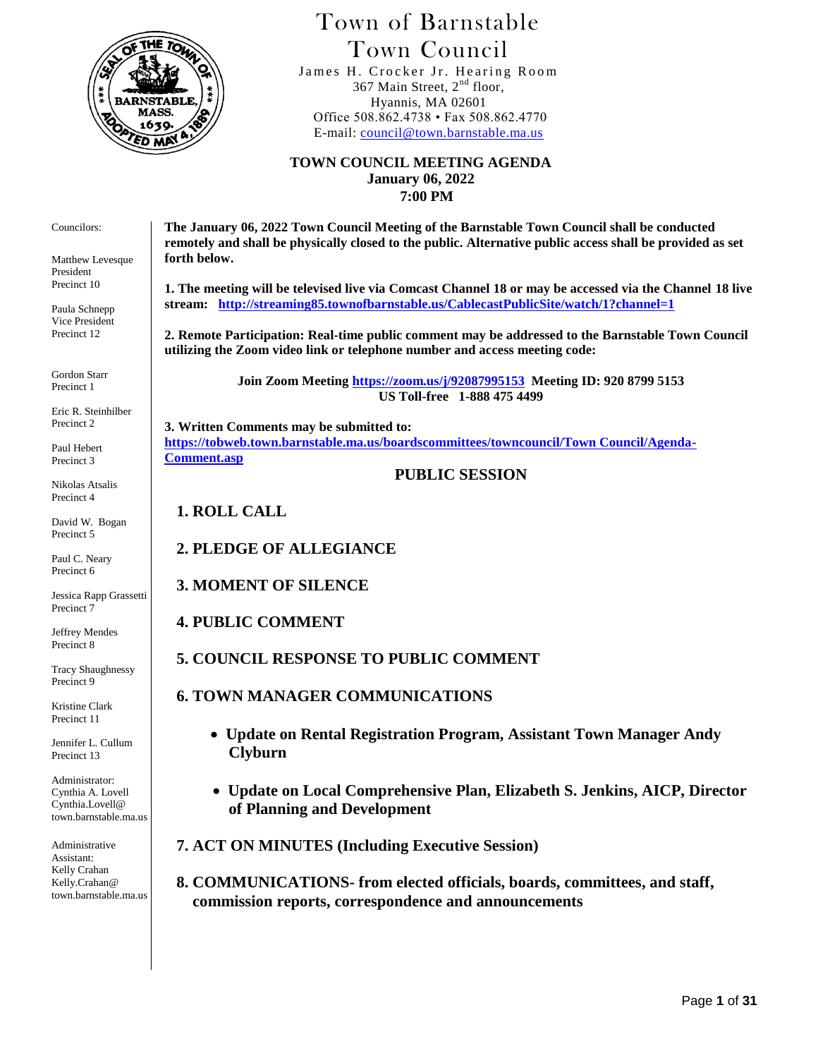

## Town of Barnstable Town Council

 James H. Crocker Jr. Hearing Room 367 Main Street,  $2<sup>nd</sup>$  floor, Hyannis, MA 02601 Office 508.862.4738 • Fax 508.862.4770 E-mail: [council@town.barnstable.ma.us](mailto:council@town.barnstable.ma.us)

**TOWN COUNCIL MEETING AGENDA January 06, 2022 7:00 PM**

**The January 06, 2022 Town Council Meeting of the Barnstable Town Council shall be conducted remotely and shall be physically closed to the public. Alternative public access shall be provided as set forth below.** 

**1. The meeting will be televised live via Comcast Channel 18 or may be accessed via the Channel 18 live stream: <http://streaming85.townofbarnstable.us/CablecastPublicSite/watch/1?channel=1>**

**2. Remote Participation: Real-time public comment may be addressed to the Barnstable Town Council utilizing the Zoom video link or telephone number and access meeting code:**

> **Join Zoom Meeting <https://zoom.us/j/92087995153>Meeting ID: 920 8799 5153 US Toll-free 1-888 475 4499**

**3. Written Comments may be submitted to: [https://tobweb.town.barnstable.ma.us/boardscommittees/towncouncil/Town Council/Agenda-](https://tobweb.town.barnstable.ma.us/boardscommittees/towncouncil/Town%20Council/Agenda-Comment.asp)[Comment.asp](https://tobweb.town.barnstable.ma.us/boardscommittees/towncouncil/Town%20Council/Agenda-Comment.asp)**

**PUBLIC SESSION**

**1. ROLL CALL**

**2. PLEDGE OF ALLEGIANCE**

**3. MOMENT OF SILENCE**

**4. PUBLIC COMMENT**

**5. COUNCIL RESPONSE TO PUBLIC COMMENT**

 **6. TOWN MANAGER COMMUNICATIONS**

- **Update on Rental Registration Program, Assistant Town Manager Andy Clyburn**
- **Update on Local Comprehensive Plan, Elizabeth S. Jenkins, AICP, Director of Planning and Development**

 **7. ACT ON MINUTES (Including Executive Session)**

 **8. COMMUNICATIONS- from elected officials, boards, committees, and staff, commission reports, correspondence and announcements**

Councilors:

Matthew Levesque President Precinct 10

Paula Schnepp Vice President Precinct 12

Gordon Starr Precinct 1

Eric R. Steinhilber Precinct 2

Paul Hebert Precinct 3

Nikolas Atsalis Precinct 4

David W. Bogan Precinct 5

Paul C. Neary Precinct 6

Jessica Rapp Grassetti Precinct 7

Jeffrey Mendes Precinct 8

Tracy Shaughnessy Precinct 9

Kristine Clark Precinct 11

Jennifer L. Cullum Precinct 13

Administrator: Cynthia A. Lovell Cynthia.Lovell@ town.barnstable.ma.us

Administrative Assistant: Kelly Crahan Kelly.Crahan@ town.barnstable.ma.us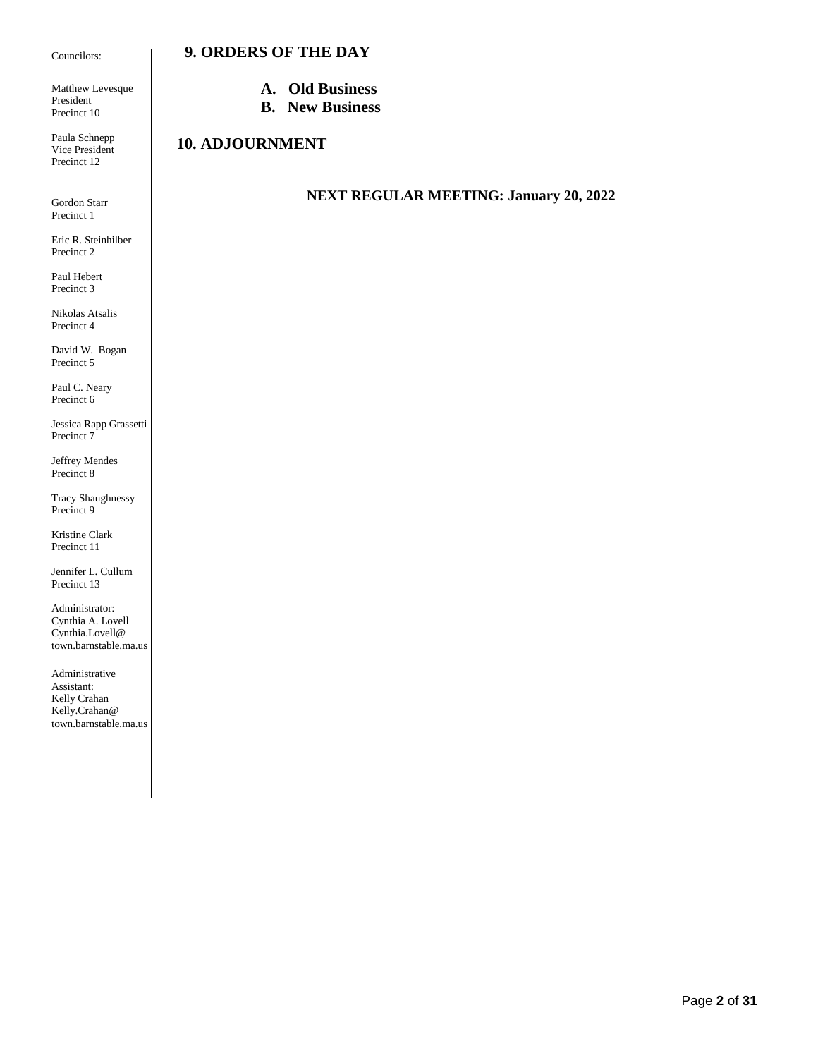#### Councilors:

Matthew Levesque President Precinct 10

Paula Schnepp Vice President Precinct 12

Gordon Starr Precinct 1

Eric R. Steinhilber Precinct 2

Paul Hebert Precinct 3

Nikolas Atsalis Precinct 4

David W. Bogan Precinct 5

Paul C. Neary Precinct 6

Jessica Rapp Grassetti Precinct 7

Jeffrey Mendes Precinct 8

Tracy Shaughnessy Precinct 9

Kristine Clark Precinct 11

Jennifer L. Cullum Precinct 13

Administrator: Cynthia A. Lovell Cynthia.Lovell@ town.barnstable.ma.us

Administrative Assistant: Kelly Crahan Kelly.Crahan@ town.barnstable.ma.us

- **A. Old Business**
- **B. New Business**

### **10. ADJOURNMENT**

 **9. ORDERS OF THE DAY**

#### **NEXT REGULAR MEETING: January 20, 2022**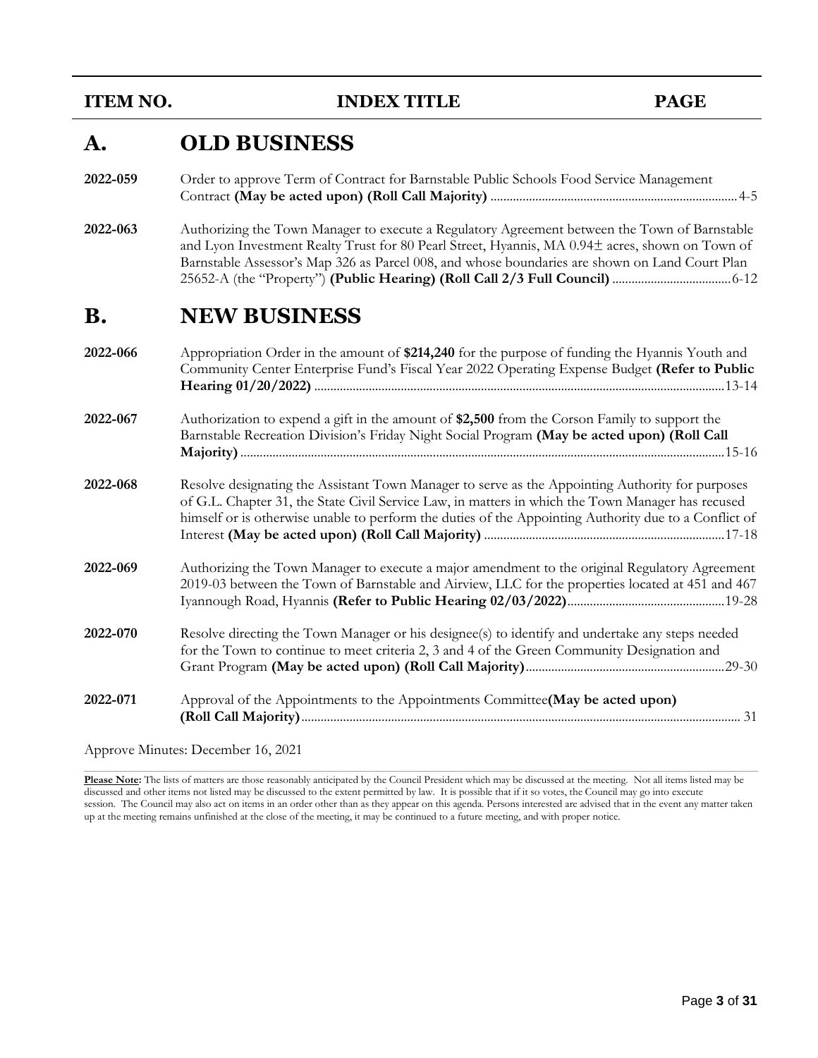**INDEX TITLE PAGE** 

## **A. OLD BUSINESS**

| 2022-059 | Order to approve Term of Contract for Barnstable Public Schools Food Service Management |
|----------|-----------------------------------------------------------------------------------------|
|          |                                                                                         |

**2022-063** Authorizing the Town Manager to execute a Regulatory Agreement between the Town of Barnstable and Lyon Investment Realty Trust for 80 Pearl Street, Hyannis, MA 0.94± acres, shown on Town of Barnstable Assessor's Map 326 as Parcel 008, and whose boundaries are shown on Land Court Plan 25652-A (the "Property") **(Public Hearing) (Roll Call 2/3 Full Council)**.....................................6-12

### **B. NEW BUSINESS**

| 2022-066 | Appropriation Order in the amount of \$214,240 for the purpose of funding the Hyannis Youth and<br>Community Center Enterprise Fund's Fiscal Year 2022 Operating Expense Budget (Refer to Public                                                                                                               |
|----------|----------------------------------------------------------------------------------------------------------------------------------------------------------------------------------------------------------------------------------------------------------------------------------------------------------------|
| 2022-067 | Authorization to expend a gift in the amount of \$2,500 from the Corson Family to support the<br>Barnstable Recreation Division's Friday Night Social Program (May be acted upon) (Roll Call                                                                                                                   |
| 2022-068 | Resolve designating the Assistant Town Manager to serve as the Appointing Authority for purposes<br>of G.L. Chapter 31, the State Civil Service Law, in matters in which the Town Manager has recused<br>himself or is otherwise unable to perform the duties of the Appointing Authority due to a Conflict of |
| 2022-069 | Authorizing the Town Manager to execute a major amendment to the original Regulatory Agreement<br>2019-03 between the Town of Barnstable and Airview, LLC for the properties located at 451 and 467                                                                                                            |
| 2022-070 | Resolve directing the Town Manager or his designee(s) to identify and undertake any steps needed<br>for the Town to continue to meet criteria 2, 3 and 4 of the Green Community Designation and                                                                                                                |
| 2022-071 | Approval of the Appointments to the Appointments Committee(May be acted upon)                                                                                                                                                                                                                                  |

Approve Minutes: December 16, 2021

**Please Note:** The lists of matters are those reasonably anticipated by the Council President which may be discussed at the meeting. Not all items listed may be discussed and other items not listed may be discussed to the extent permitted by law. It is possible that if it so votes, the Council may go into execute session. The Council may also act on items in an order other than as they appear on this agenda. Persons interested are advised that in the event any matter taken up at the meeting remains unfinished at the close of the meeting, it may be continued to a future meeting, and with proper notice.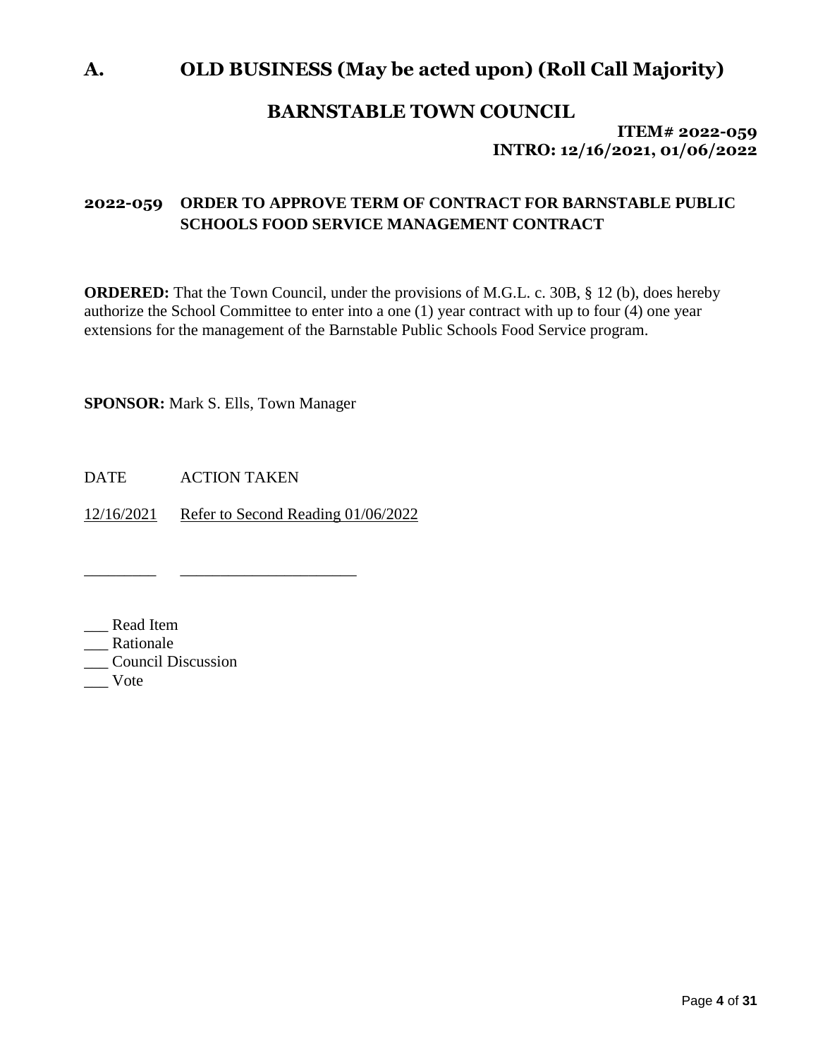### **A. OLD BUSINESS (May be acted upon) (Roll Call Majority)**

### **BARNSTABLE TOWN COUNCIL**

**ITEM# 2022-059 INTRO: 12/16/2021, 01/06/2022**

### **2022-059 ORDER TO APPROVE TERM OF CONTRACT FOR BARNSTABLE PUBLIC SCHOOLS FOOD SERVICE MANAGEMENT CONTRACT**

**ORDERED:** That the Town Council, under the provisions of M.G.L. c. 30B, § 12 (b), does hereby authorize the School Committee to enter into a one (1) year contract with up to four (4) one year extensions for the management of the Barnstable Public Schools Food Service program.

**SPONSOR:** Mark S. Ells, Town Manager

\_\_\_\_\_\_\_\_\_ \_\_\_\_\_\_\_\_\_\_\_\_\_\_\_\_\_\_\_\_\_\_

DATE ACTION TAKEN

12/16/2021 Refer to Second Reading 01/06/2022

\_\_\_ Read Item

\_\_\_ Rationale

\_\_\_ Council Discussion

\_\_\_ Vote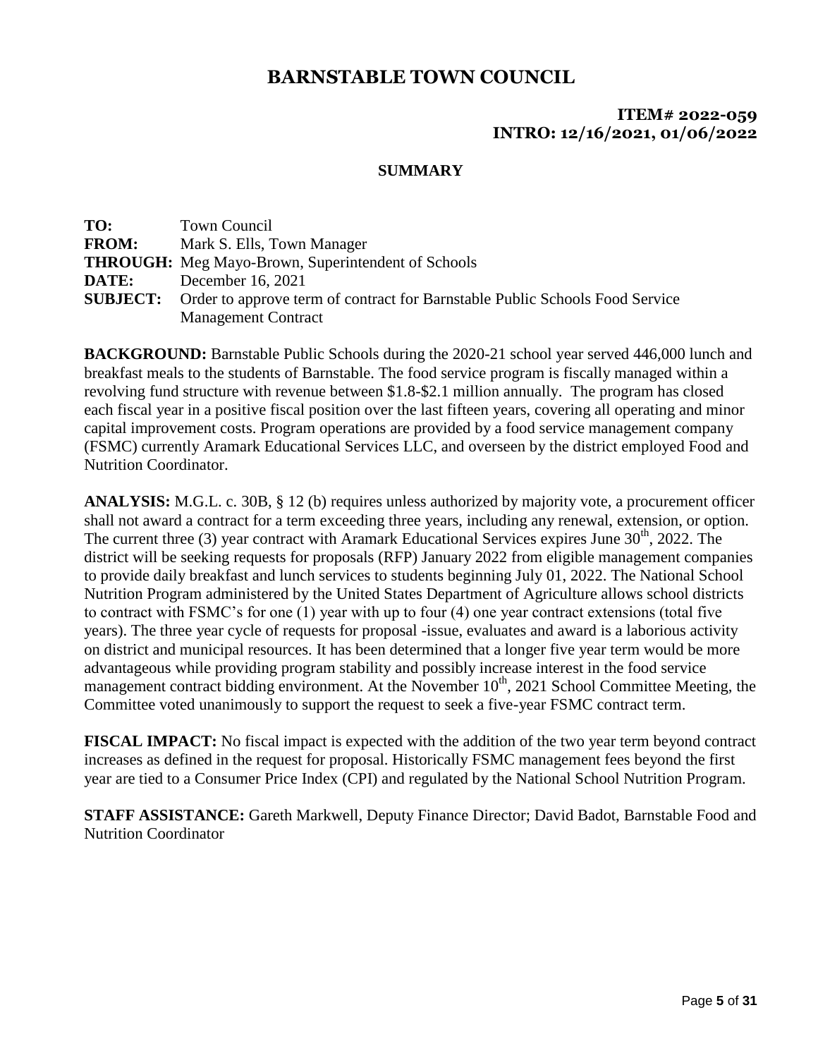### **ITEM# 2022-059 INTRO: 12/16/2021, 01/06/2022**

### **SUMMARY**

| TO:          | Town Council                                                                                 |
|--------------|----------------------------------------------------------------------------------------------|
| <b>FROM:</b> | Mark S. Ells, Town Manager                                                                   |
|              | <b>THROUGH:</b> Meg Mayo-Brown, Superintendent of Schools                                    |
| DATE:        | December 16, 2021                                                                            |
|              | <b>SUBJECT:</b> Order to approve term of contract for Barnstable Public Schools Food Service |
|              | <b>Management Contract</b>                                                                   |

**BACKGROUND:** Barnstable Public Schools during the 2020-21 school year served 446,000 lunch and breakfast meals to the students of Barnstable. The food service program is fiscally managed within a revolving fund structure with revenue between \$1.8-\$2.1 million annually. The program has closed each fiscal year in a positive fiscal position over the last fifteen years, covering all operating and minor capital improvement costs. Program operations are provided by a food service management company (FSMC) currently Aramark Educational Services LLC, and overseen by the district employed Food and Nutrition Coordinator.

**ANALYSIS:** M.G.L. c. 30B, § 12 (b) requires unless authorized by majority vote, a procurement officer shall not award a contract for a term exceeding three years, including any renewal, extension, or option. The current three (3) year contract with Aramark Educational Services expires June  $30<sup>th</sup>$ , 2022. The district will be seeking requests for proposals (RFP) January 2022 from eligible management companies to provide daily breakfast and lunch services to students beginning July 01, 2022. The National School Nutrition Program administered by the United States Department of Agriculture allows school districts to contract with FSMC's for one (1) year with up to four (4) one year contract extensions (total five years). The three year cycle of requests for proposal -issue, evaluates and award is a laborious activity on district and municipal resources. It has been determined that a longer five year term would be more advantageous while providing program stability and possibly increase interest in the food service management contract bidding environment. At the November  $10<sup>th</sup>$ , 2021 School Committee Meeting, the Committee voted unanimously to support the request to seek a five-year FSMC contract term.

**FISCAL IMPACT:** No fiscal impact is expected with the addition of the two year term beyond contract increases as defined in the request for proposal. Historically FSMC management fees beyond the first year are tied to a Consumer Price Index (CPI) and regulated by the National School Nutrition Program.

**STAFF ASSISTANCE:** Gareth Markwell, Deputy Finance Director; David Badot, Barnstable Food and Nutrition Coordinator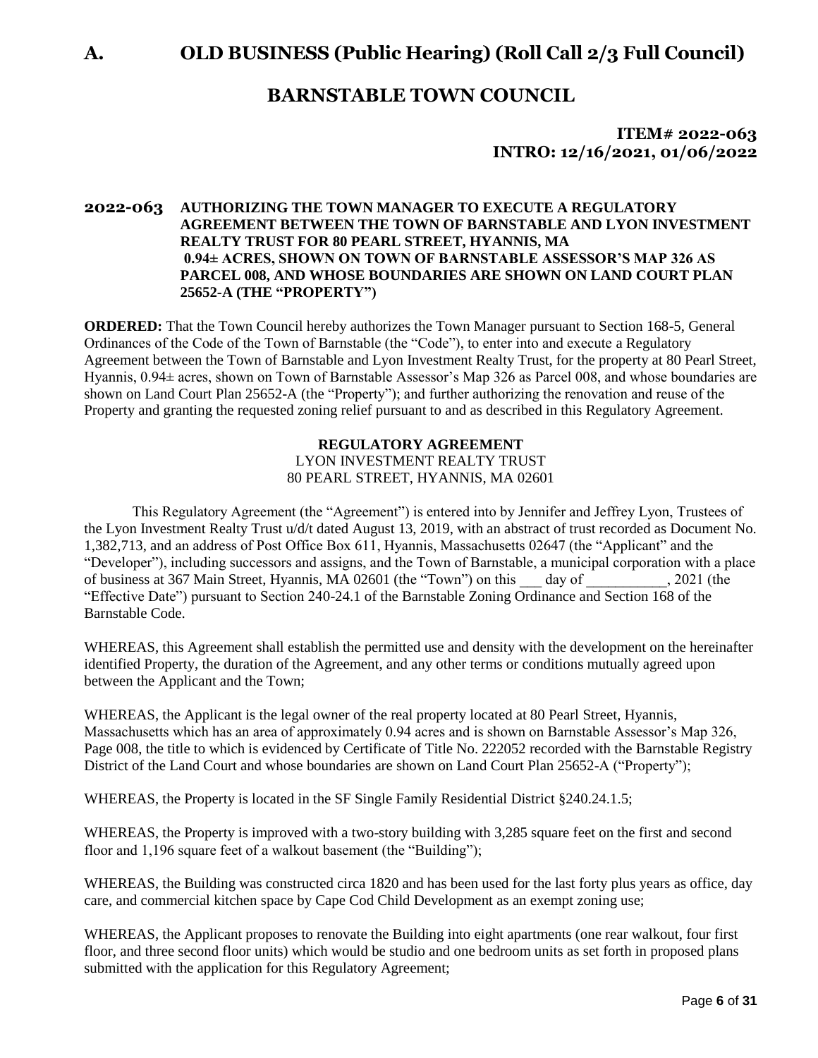**A. OLD BUSINESS (Public Hearing) (Roll Call 2/3 Full Council)**

### **BARNSTABLE TOWN COUNCIL**

**ITEM# 2022-063 INTRO: 12/16/2021, 01/06/2022**

#### **2022-063 AUTHORIZING THE TOWN MANAGER TO EXECUTE A REGULATORY AGREEMENT BETWEEN THE TOWN OF BARNSTABLE AND LYON INVESTMENT REALTY TRUST FOR 80 PEARL STREET, HYANNIS, MA 0.94± ACRES, SHOWN ON TOWN OF BARNSTABLE ASSESSOR'S MAP 326 AS PARCEL 008, AND WHOSE BOUNDARIES ARE SHOWN ON LAND COURT PLAN 25652-A (THE "PROPERTY")**

**ORDERED:** That the Town Council hereby authorizes the Town Manager pursuant to Section 168-5, General Ordinances of the Code of the Town of Barnstable (the "Code"), to enter into and execute a Regulatory Agreement between the Town of Barnstable and Lyon Investment Realty Trust, for the property at 80 Pearl Street, Hyannis, 0.94± acres, shown on Town of Barnstable Assessor's Map 326 as Parcel 008, and whose boundaries are shown on Land Court Plan 25652-A (the "Property"); and further authorizing the renovation and reuse of the Property and granting the requested zoning relief pursuant to and as described in this Regulatory Agreement.

#### **REGULATORY AGREEMENT** LYON INVESTMENT REALTY TRUST 80 PEARL STREET, HYANNIS, MA 02601

This Regulatory Agreement (the "Agreement") is entered into by Jennifer and Jeffrey Lyon, Trustees of the Lyon Investment Realty Trust u/d/t dated August 13, 2019, with an abstract of trust recorded as Document No. 1,382,713, and an address of Post Office Box 611, Hyannis, Massachusetts 02647 (the "Applicant" and the "Developer"), including successors and assigns, and the Town of Barnstable, a municipal corporation with a place of business at 367 Main Street, Hyannis, MA 02601 (the "Town") on this \_\_\_ day of \_\_\_\_\_\_\_\_\_\_\_, 2021 (the "Effective Date") pursuant to Section 240-24.1 of the Barnstable Zoning Ordinance and Section 168 of the Barnstable Code.

WHEREAS, this Agreement shall establish the permitted use and density with the development on the hereinafter identified Property, the duration of the Agreement, and any other terms or conditions mutually agreed upon between the Applicant and the Town;

WHEREAS, the Applicant is the legal owner of the real property located at 80 Pearl Street, Hyannis, Massachusetts which has an area of approximately 0.94 acres and is shown on Barnstable Assessor's Map 326, Page 008, the title to which is evidenced by Certificate of Title No. 222052 recorded with the Barnstable Registry District of the Land Court and whose boundaries are shown on Land Court Plan 25652-A ("Property");

WHEREAS, the Property is located in the SF Single Family Residential District §240.24.1.5;

WHEREAS, the Property is improved with a two-story building with 3,285 square feet on the first and second floor and 1,196 square feet of a walkout basement (the "Building");

WHEREAS, the Building was constructed circa 1820 and has been used for the last forty plus years as office, day care, and commercial kitchen space by Cape Cod Child Development as an exempt zoning use;

WHEREAS, the Applicant proposes to renovate the Building into eight apartments (one rear walkout, four first floor, and three second floor units) which would be studio and one bedroom units as set forth in proposed plans submitted with the application for this Regulatory Agreement;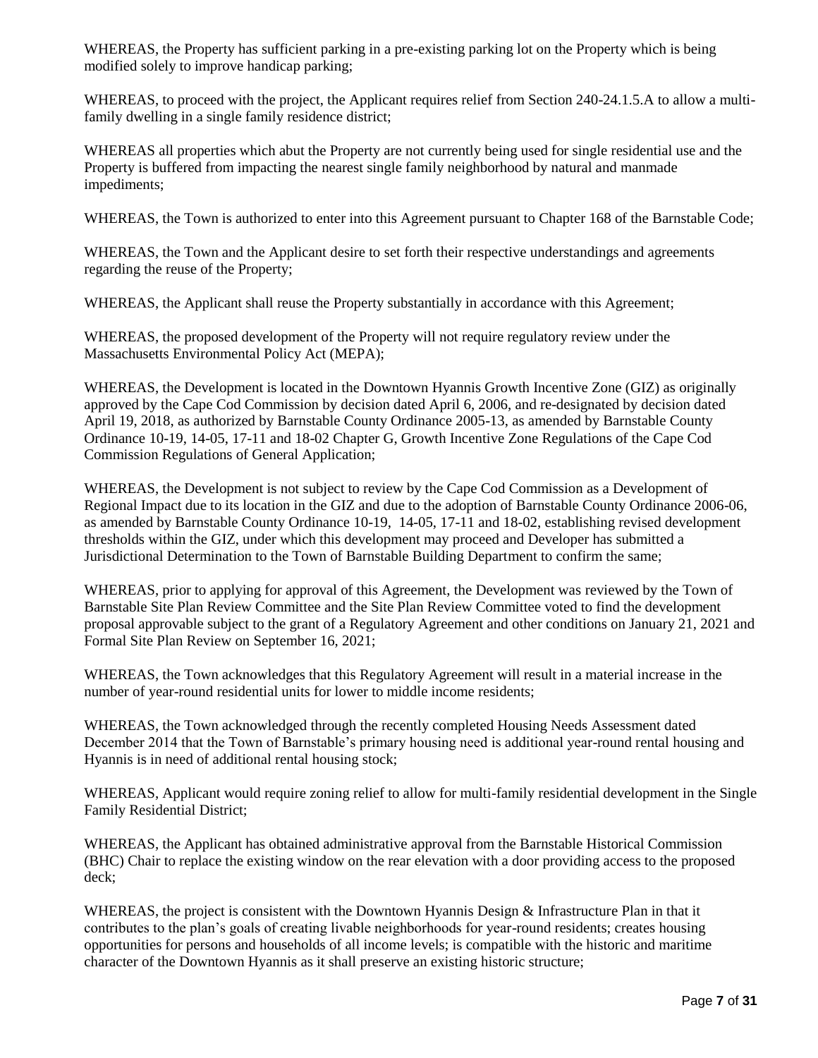WHEREAS, the Property has sufficient parking in a pre-existing parking lot on the Property which is being modified solely to improve handicap parking;

WHEREAS, to proceed with the project, the Applicant requires relief from Section 240-24.1.5.A to allow a multifamily dwelling in a single family residence district;

WHEREAS all properties which abut the Property are not currently being used for single residential use and the Property is buffered from impacting the nearest single family neighborhood by natural and manmade impediments;

WHEREAS, the Town is authorized to enter into this Agreement pursuant to Chapter 168 of the Barnstable Code;

WHEREAS, the Town and the Applicant desire to set forth their respective understandings and agreements regarding the reuse of the Property;

WHEREAS, the Applicant shall reuse the Property substantially in accordance with this Agreement;

WHEREAS, the proposed development of the Property will not require regulatory review under the Massachusetts Environmental Policy Act (MEPA);

WHEREAS, the Development is located in the Downtown Hyannis Growth Incentive Zone (GIZ) as originally approved by the Cape Cod Commission by decision dated April 6, 2006, and re-designated by decision dated April 19, 2018, as authorized by Barnstable County Ordinance 2005-13, as amended by Barnstable County Ordinance 10-19, 14-05, 17-11 and 18-02 Chapter G, Growth Incentive Zone Regulations of the Cape Cod Commission Regulations of General Application;

WHEREAS, the Development is not subject to review by the Cape Cod Commission as a Development of Regional Impact due to its location in the GIZ and due to the adoption of Barnstable County Ordinance 2006-06, as amended by Barnstable County Ordinance 10-19, 14-05, 17-11 and 18-02, establishing revised development thresholds within the GIZ, under which this development may proceed and Developer has submitted a Jurisdictional Determination to the Town of Barnstable Building Department to confirm the same;

WHEREAS, prior to applying for approval of this Agreement, the Development was reviewed by the Town of Barnstable Site Plan Review Committee and the Site Plan Review Committee voted to find the development proposal approvable subject to the grant of a Regulatory Agreement and other conditions on January 21, 2021 and Formal Site Plan Review on September 16, 2021;

WHEREAS, the Town acknowledges that this Regulatory Agreement will result in a material increase in the number of year-round residential units for lower to middle income residents;

WHEREAS, the Town acknowledged through the recently completed Housing Needs Assessment dated December 2014 that the Town of Barnstable's primary housing need is additional year-round rental housing and Hyannis is in need of additional rental housing stock;

WHEREAS, Applicant would require zoning relief to allow for multi-family residential development in the Single Family Residential District;

WHEREAS, the Applicant has obtained administrative approval from the Barnstable Historical Commission (BHC) Chair to replace the existing window on the rear elevation with a door providing access to the proposed deck;

WHEREAS, the project is consistent with the Downtown Hyannis Design & Infrastructure Plan in that it contributes to the plan's goals of creating livable neighborhoods for year-round residents; creates housing opportunities for persons and households of all income levels; is compatible with the historic and maritime character of the Downtown Hyannis as it shall preserve an existing historic structure;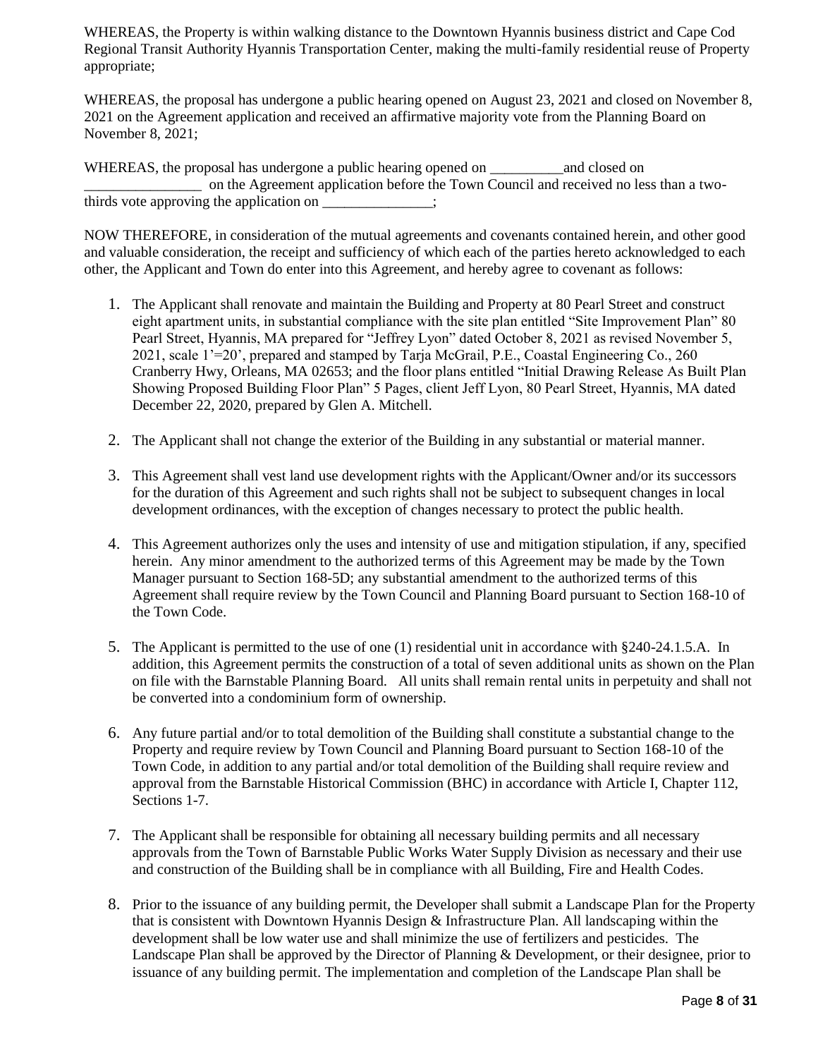WHEREAS, the Property is within walking distance to the Downtown Hyannis business district and Cape Cod Regional Transit Authority Hyannis Transportation Center, making the multi-family residential reuse of Property appropriate;

WHEREAS, the proposal has undergone a public hearing opened on August 23, 2021 and closed on November 8, 2021 on the Agreement application and received an affirmative majority vote from the Planning Board on November 8, 2021;

WHEREAS, the proposal has undergone a public hearing opened on \_\_\_\_\_\_\_\_\_\_\_\_\_\_\_\_\_\_ and closed on \_\_\_\_\_\_\_\_\_\_\_\_\_\_\_\_ on the Agreement application before the Town Council and received no less than a twothirds vote approving the application on  $\cdot$ 

NOW THEREFORE, in consideration of the mutual agreements and covenants contained herein, and other good and valuable consideration, the receipt and sufficiency of which each of the parties hereto acknowledged to each other, the Applicant and Town do enter into this Agreement, and hereby agree to covenant as follows:

- 1. The Applicant shall renovate and maintain the Building and Property at 80 Pearl Street and construct eight apartment units, in substantial compliance with the site plan entitled "Site Improvement Plan" 80 Pearl Street, Hyannis, MA prepared for "Jeffrey Lyon" dated October 8, 2021 as revised November 5, 2021, scale 1'=20', prepared and stamped by Tarja McGrail, P.E., Coastal Engineering Co., 260 Cranberry Hwy, Orleans, MA 02653; and the floor plans entitled "Initial Drawing Release As Built Plan Showing Proposed Building Floor Plan" 5 Pages, client Jeff Lyon, 80 Pearl Street, Hyannis, MA dated December 22, 2020, prepared by Glen A. Mitchell.
- 2. The Applicant shall not change the exterior of the Building in any substantial or material manner.
- 3. This Agreement shall vest land use development rights with the Applicant/Owner and/or its successors for the duration of this Agreement and such rights shall not be subject to subsequent changes in local development ordinances, with the exception of changes necessary to protect the public health.
- 4. This Agreement authorizes only the uses and intensity of use and mitigation stipulation, if any, specified herein. Any minor amendment to the authorized terms of this Agreement may be made by the Town Manager pursuant to Section 168-5D; any substantial amendment to the authorized terms of this Agreement shall require review by the Town Council and Planning Board pursuant to Section 168-10 of the Town Code.
- 5. The Applicant is permitted to the use of one (1) residential unit in accordance with §240-24.1.5.A. In addition, this Agreement permits the construction of a total of seven additional units as shown on the Plan on file with the Barnstable Planning Board. All units shall remain rental units in perpetuity and shall not be converted into a condominium form of ownership.
- 6. Any future partial and/or to total demolition of the Building shall constitute a substantial change to the Property and require review by Town Council and Planning Board pursuant to Section 168-10 of the Town Code, in addition to any partial and/or total demolition of the Building shall require review and approval from the Barnstable Historical Commission (BHC) in accordance with Article I, Chapter 112, Sections 1-7.
- 7. The Applicant shall be responsible for obtaining all necessary building permits and all necessary approvals from the Town of Barnstable Public Works Water Supply Division as necessary and their use and construction of the Building shall be in compliance with all Building, Fire and Health Codes.
- 8. Prior to the issuance of any building permit, the Developer shall submit a Landscape Plan for the Property that is consistent with Downtown Hyannis Design & Infrastructure Plan. All landscaping within the development shall be low water use and shall minimize the use of fertilizers and pesticides. The Landscape Plan shall be approved by the Director of Planning & Development, or their designee, prior to issuance of any building permit. The implementation and completion of the Landscape Plan shall be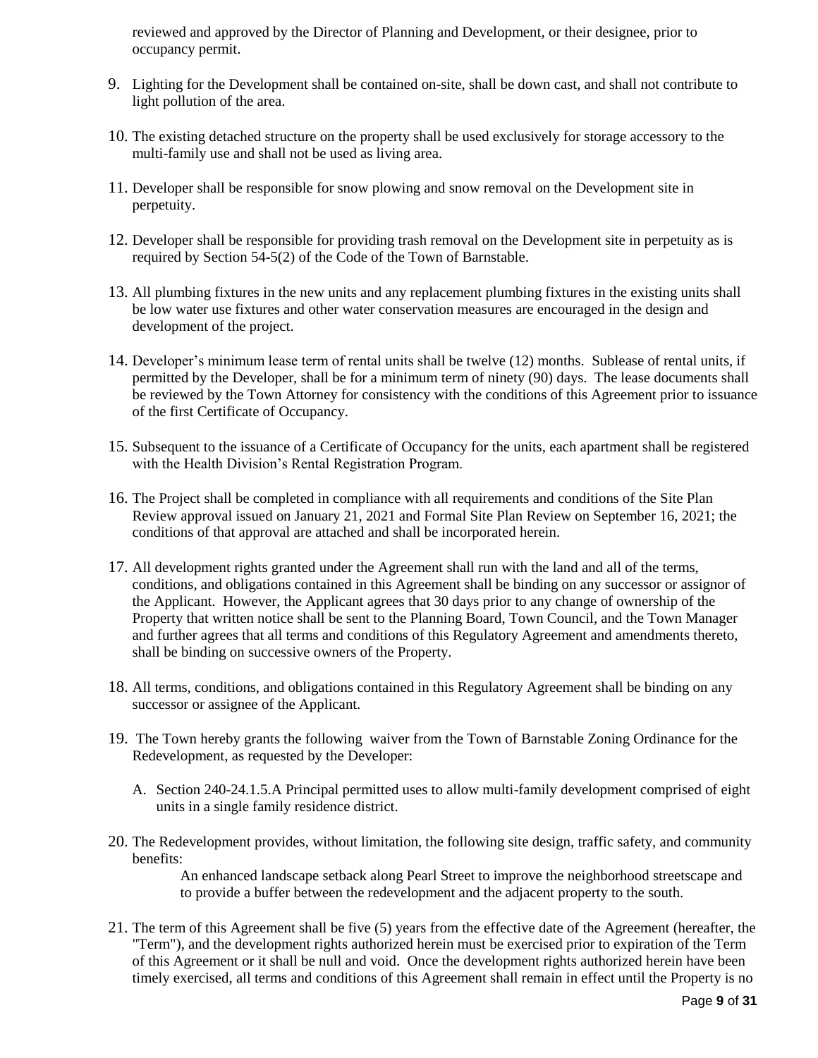reviewed and approved by the Director of Planning and Development, or their designee, prior to occupancy permit.

- 9. Lighting for the Development shall be contained on-site, shall be down cast, and shall not contribute to light pollution of the area.
- 10. The existing detached structure on the property shall be used exclusively for storage accessory to the multi-family use and shall not be used as living area.
- 11. Developer shall be responsible for snow plowing and snow removal on the Development site in perpetuity.
- 12. Developer shall be responsible for providing trash removal on the Development site in perpetuity as is required by Section 54-5(2) of the Code of the Town of Barnstable.
- 13. All plumbing fixtures in the new units and any replacement plumbing fixtures in the existing units shall be low water use fixtures and other water conservation measures are encouraged in the design and development of the project.
- 14. Developer's minimum lease term of rental units shall be twelve (12) months. Sublease of rental units, if permitted by the Developer, shall be for a minimum term of ninety (90) days. The lease documents shall be reviewed by the Town Attorney for consistency with the conditions of this Agreement prior to issuance of the first Certificate of Occupancy.
- 15. Subsequent to the issuance of a Certificate of Occupancy for the units, each apartment shall be registered with the Health Division's Rental Registration Program.
- 16. The Project shall be completed in compliance with all requirements and conditions of the Site Plan Review approval issued on January 21, 2021 and Formal Site Plan Review on September 16, 2021; the conditions of that approval are attached and shall be incorporated herein.
- 17. All development rights granted under the Agreement shall run with the land and all of the terms, conditions, and obligations contained in this Agreement shall be binding on any successor or assignor of the Applicant. However, the Applicant agrees that 30 days prior to any change of ownership of the Property that written notice shall be sent to the Planning Board, Town Council, and the Town Manager and further agrees that all terms and conditions of this Regulatory Agreement and amendments thereto, shall be binding on successive owners of the Property.
- 18. All terms, conditions, and obligations contained in this Regulatory Agreement shall be binding on any successor or assignee of the Applicant.
- 19. The Town hereby grants the following waiver from the Town of Barnstable Zoning Ordinance for the Redevelopment, as requested by the Developer:
	- A. Section 240-24.1.5.A Principal permitted uses to allow multi-family development comprised of eight units in a single family residence district.
- 20. The Redevelopment provides, without limitation, the following site design, traffic safety, and community benefits:

An enhanced landscape setback along Pearl Street to improve the neighborhood streetscape and to provide a buffer between the redevelopment and the adjacent property to the south.

21. The term of this Agreement shall be five (5) years from the effective date of the Agreement (hereafter, the "Term"), and the development rights authorized herein must be exercised prior to expiration of the Term of this Agreement or it shall be null and void. Once the development rights authorized herein have been timely exercised, all terms and conditions of this Agreement shall remain in effect until the Property is no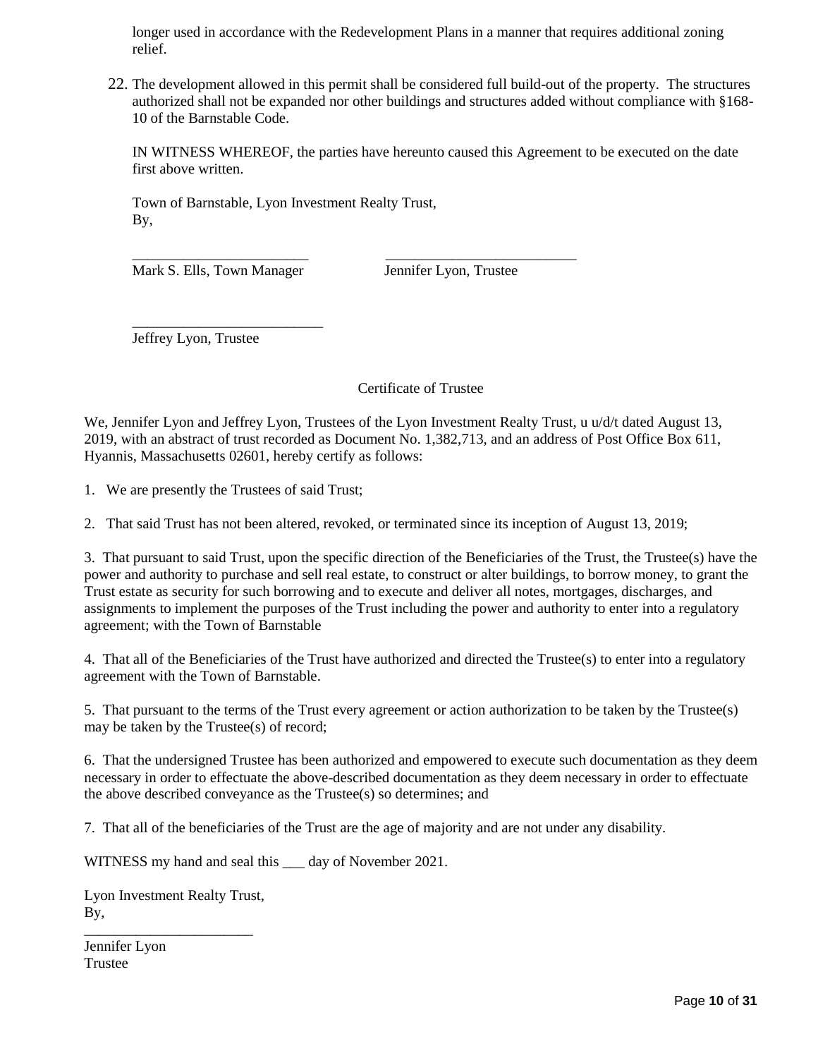longer used in accordance with the Redevelopment Plans in a manner that requires additional zoning relief.

22. The development allowed in this permit shall be considered full build-out of the property. The structures authorized shall not be expanded nor other buildings and structures added without compliance with §168- 10 of the Barnstable Code.

IN WITNESS WHEREOF, the parties have hereunto caused this Agreement to be executed on the date first above written.

Town of Barnstable, Lyon Investment Realty Trust, By,

\_\_\_\_\_\_\_\_\_\_\_\_\_\_\_\_\_\_\_\_\_\_\_\_ \_\_\_\_\_\_\_\_\_\_\_\_\_\_\_\_\_\_\_\_\_\_\_\_\_\_ Mark S. Ells, Town Manager Jennifer Lyon, Trustee

\_\_\_\_\_\_\_\_\_\_\_\_\_\_\_\_\_\_\_\_\_\_\_\_\_\_ Jeffrey Lyon, Trustee

Certificate of Trustee

We, Jennifer Lyon and Jeffrey Lyon, Trustees of the Lyon Investment Realty Trust, u u/d/t dated August 13, 2019, with an abstract of trust recorded as Document No. 1,382,713, and an address of Post Office Box 611, Hyannis, Massachusetts 02601, hereby certify as follows:

1. We are presently the Trustees of said Trust;

2. That said Trust has not been altered, revoked, or terminated since its inception of August 13, 2019;

3. That pursuant to said Trust, upon the specific direction of the Beneficiaries of the Trust, the Trustee(s) have the power and authority to purchase and sell real estate, to construct or alter buildings, to borrow money, to grant the Trust estate as security for such borrowing and to execute and deliver all notes, mortgages, discharges, and assignments to implement the purposes of the Trust including the power and authority to enter into a regulatory agreement; with the Town of Barnstable

4. That all of the Beneficiaries of the Trust have authorized and directed the Trustee(s) to enter into a regulatory agreement with the Town of Barnstable.

5. That pursuant to the terms of the Trust every agreement or action authorization to be taken by the Trustee(s) may be taken by the Trustee(s) of record;

6. That the undersigned Trustee has been authorized and empowered to execute such documentation as they deem necessary in order to effectuate the above-described documentation as they deem necessary in order to effectuate the above described conveyance as the Trustee(s) so determines; and

7. That all of the beneficiaries of the Trust are the age of majority and are not under any disability.

WITNESS my hand and seal this \_\_\_ day of November 2021.

Lyon Investment Realty Trust, By, \_\_\_\_\_\_\_\_\_\_\_\_\_\_\_\_\_\_\_\_\_\_\_

Jennifer Lyon Trustee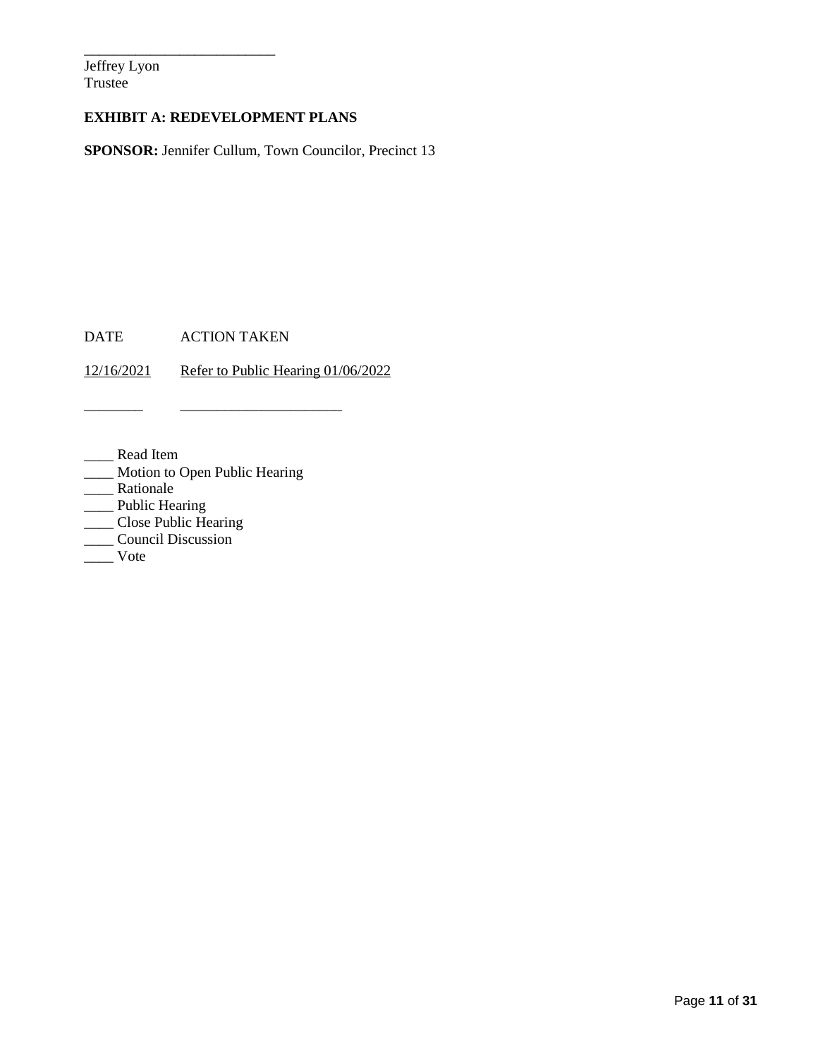Jeffrey Lyon Trustee

### **EXHIBIT A: REDEVELOPMENT PLANS**

\_\_\_\_\_\_\_\_\_\_\_\_\_\_\_\_\_\_\_\_\_\_\_\_\_\_

**SPONSOR:** Jennifer Cullum, Town Councilor, Precinct 13

DATE ACTION TAKEN

12/16/2021 Refer to Public Hearing 01/06/2022

\_\_\_\_\_\_\_\_ \_\_\_\_\_\_\_\_\_\_\_\_\_\_\_\_\_\_\_\_\_\_

\_\_\_\_ Read Item

\_\_\_\_ Motion to Open Public Hearing

\_\_\_\_ Rationale

\_\_\_\_ Public Hearing

\_\_\_\_ Close Public Hearing

\_\_\_\_ Council Discussion

 $\frac{1}{\sqrt{1-\frac{1}{2}}}$  Vote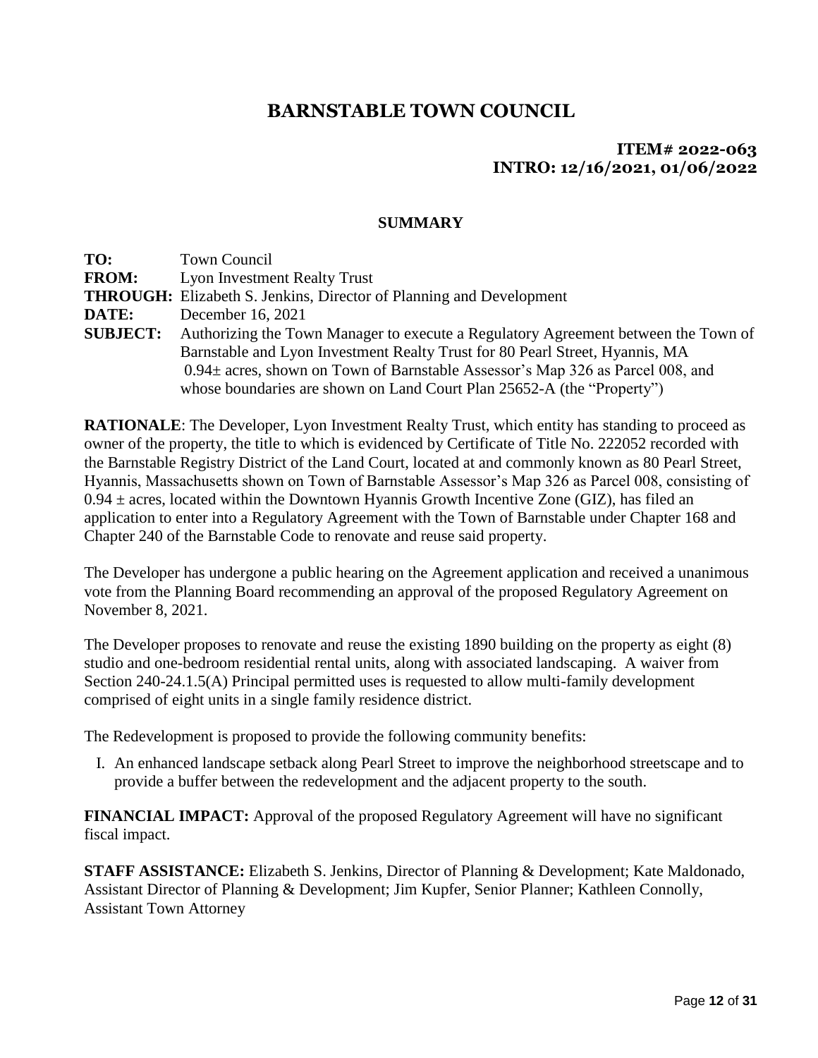### **ITEM# 2022-063 INTRO: 12/16/2021, 01/06/2022**

### **SUMMARY**

**TO:** Town Council **FROM:** Lyon Investment Realty Trust **THROUGH:** Elizabeth S. Jenkins, Director of Planning and Development **DATE:** December 16, 2021 **SUBJECT:** Authorizing the Town Manager to execute a Regulatory Agreement between the Town of Barnstable and Lyon Investment Realty Trust for 80 Pearl Street, Hyannis, MA 0.94± acres, shown on Town of Barnstable Assessor's Map 326 as Parcel 008, and whose boundaries are shown on Land Court Plan 25652-A (the "Property")

**RATIONALE**: The Developer, Lyon Investment Realty Trust, which entity has standing to proceed as owner of the property, the title to which is evidenced by Certificate of Title No. 222052 recorded with the Barnstable Registry District of the Land Court, located at and commonly known as 80 Pearl Street, Hyannis, Massachusetts shown on Town of Barnstable Assessor's Map 326 as Parcel 008, consisting of  $0.94 \pm \text{acres}$ , located within the Downtown Hyannis Growth Incentive Zone (GIZ), has filed an application to enter into a Regulatory Agreement with the Town of Barnstable under Chapter 168 and Chapter 240 of the Barnstable Code to renovate and reuse said property.

The Developer has undergone a public hearing on the Agreement application and received a unanimous vote from the Planning Board recommending an approval of the proposed Regulatory Agreement on November 8, 2021.

The Developer proposes to renovate and reuse the existing 1890 building on the property as eight (8) studio and one-bedroom residential rental units, along with associated landscaping. A waiver from Section 240-24.1.5(A) Principal permitted uses is requested to allow multi-family development comprised of eight units in a single family residence district.

The Redevelopment is proposed to provide the following community benefits:

I. An enhanced landscape setback along Pearl Street to improve the neighborhood streetscape and to provide a buffer between the redevelopment and the adjacent property to the south.

**FINANCIAL IMPACT:** Approval of the proposed Regulatory Agreement will have no significant fiscal impact.

**STAFF ASSISTANCE:** Elizabeth S. Jenkins, Director of Planning & Development; Kate Maldonado, Assistant Director of Planning & Development; Jim Kupfer, Senior Planner; Kathleen Connolly, Assistant Town Attorney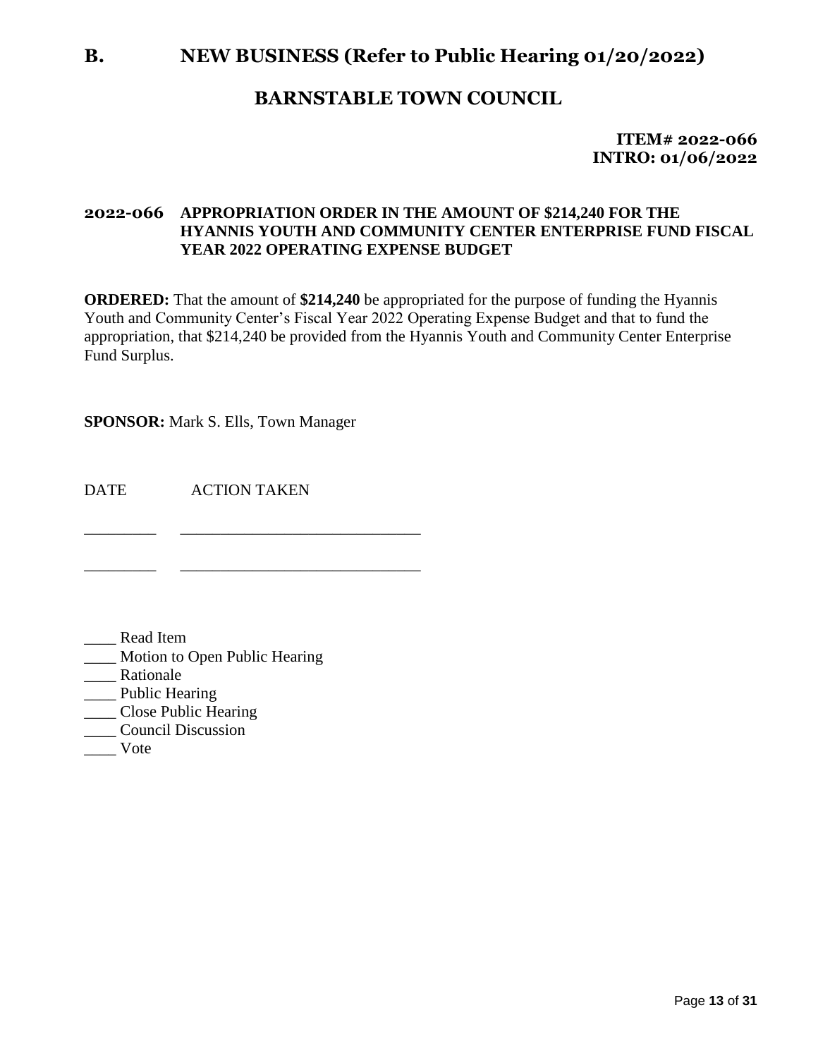### **B. NEW BUSINESS (Refer to Public Hearing 01/20/2022)**

### **BARNSTABLE TOWN COUNCIL**

**ITEM# 2022-066 INTRO: 01/06/2022**

### **2022-066 APPROPRIATION ORDER IN THE AMOUNT OF \$214,240 FOR THE HYANNIS YOUTH AND COMMUNITY CENTER ENTERPRISE FUND FISCAL YEAR 2022 OPERATING EXPENSE BUDGET**

**ORDERED:** That the amount of **\$214,240** be appropriated for the purpose of funding the Hyannis Youth and Community Center's Fiscal Year 2022 Operating Expense Budget and that to fund the appropriation, that \$214,240 be provided from the Hyannis Youth and Community Center Enterprise Fund Surplus.

**SPONSOR:** Mark S. Ells, Town Manager

DATE ACTION TAKEN \_\_\_\_\_\_\_\_\_ \_\_\_\_\_\_\_\_\_\_\_\_\_\_\_\_\_\_\_\_\_\_\_\_\_\_\_\_\_\_

\_\_\_\_\_\_\_\_\_ \_\_\_\_\_\_\_\_\_\_\_\_\_\_\_\_\_\_\_\_\_\_\_\_\_\_\_\_\_\_

- \_\_\_\_ Read Item
- \_\_\_\_ Motion to Open Public Hearing
- \_\_\_\_ Rationale
- \_\_\_\_ Public Hearing
- \_\_\_\_ Close Public Hearing
- \_\_\_\_ Council Discussion
- \_\_\_\_ Vote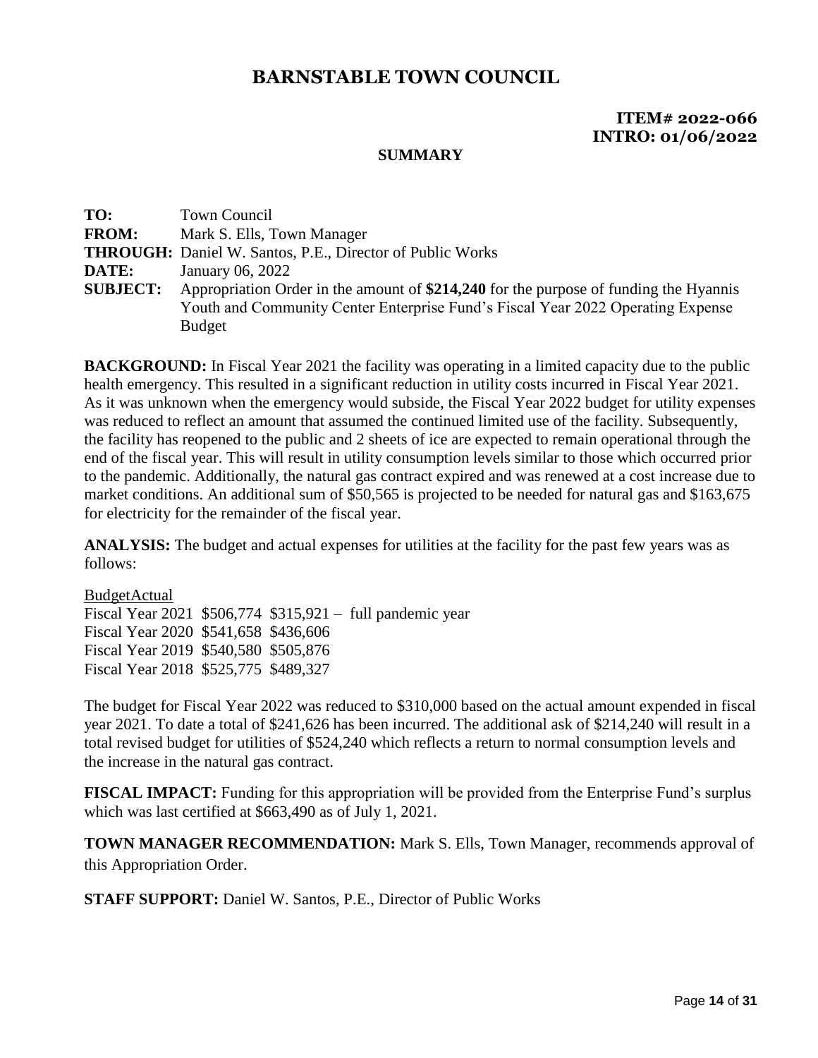### **ITEM# 2022-066 INTRO: 01/06/2022**

#### **SUMMARY**

| TO:             | <b>Town Council</b>                                                                   |
|-----------------|---------------------------------------------------------------------------------------|
| <b>FROM:</b>    | Mark S. Ells, Town Manager                                                            |
|                 | <b>THROUGH:</b> Daniel W. Santos, P.E., Director of Public Works                      |
| DATE:           | January 06, 2022                                                                      |
| <b>SUBJECT:</b> | Appropriation Order in the amount of \$214,240 for the purpose of funding the Hyannis |
|                 | Youth and Community Center Enterprise Fund's Fiscal Year 2022 Operating Expense       |
|                 | <b>Budget</b>                                                                         |

**BACKGROUND:** In Fiscal Year 2021 the facility was operating in a limited capacity due to the public health emergency. This resulted in a significant reduction in utility costs incurred in Fiscal Year 2021. As it was unknown when the emergency would subside, the Fiscal Year 2022 budget for utility expenses was reduced to reflect an amount that assumed the continued limited use of the facility. Subsequently, the facility has reopened to the public and 2 sheets of ice are expected to remain operational through the end of the fiscal year. This will result in utility consumption levels similar to those which occurred prior to the pandemic. Additionally, the natural gas contract expired and was renewed at a cost increase due to market conditions. An additional sum of \$50,565 is projected to be needed for natural gas and \$163,675 for electricity for the remainder of the fiscal year.

**ANALYSIS:** The budget and actual expenses for utilities at the facility for the past few years was as follows:

### BudgetActual Fiscal Year 2021 \$506,774 \$315,921 – full pandemic year Fiscal Year 2020 \$541,658 \$436,606 Fiscal Year 2019 \$540,580 \$505,876 Fiscal Year 2018 \$525,775 \$489,327

The budget for Fiscal Year 2022 was reduced to \$310,000 based on the actual amount expended in fiscal year 2021. To date a total of \$241,626 has been incurred. The additional ask of \$214,240 will result in a total revised budget for utilities of \$524,240 which reflects a return to normal consumption levels and the increase in the natural gas contract.

**FISCAL IMPACT:** Funding for this appropriation will be provided from the Enterprise Fund's surplus which was last certified at \$663,490 as of July 1, 2021.

**TOWN MANAGER RECOMMENDATION:** Mark S. Ells, Town Manager, recommends approval of this Appropriation Order.

**STAFF SUPPORT:** Daniel W. Santos, P.E., Director of Public Works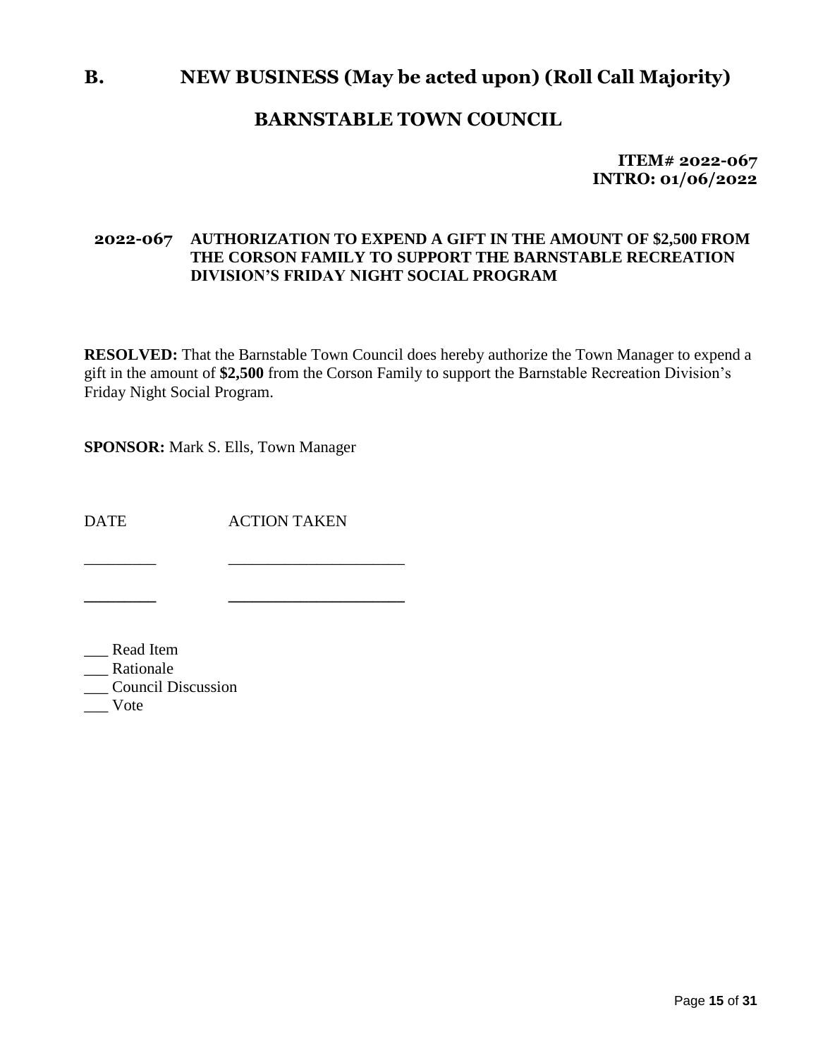### **B. NEW BUSINESS (May be acted upon) (Roll Call Majority)**

### **BARNSTABLE TOWN COUNCIL**

**ITEM# 2022-067 INTRO: 01/06/2022**

### **2022-067 AUTHORIZATION TO EXPEND A GIFT IN THE AMOUNT OF \$2,500 FROM THE CORSON FAMILY TO SUPPORT THE BARNSTABLE RECREATION DIVISION'S FRIDAY NIGHT SOCIAL PROGRAM**

**RESOLVED:** That the Barnstable Town Council does hereby authorize the Town Manager to expend a gift in the amount of **\$2,500** from the Corson Family to support the Barnstable Recreation Division's Friday Night Social Program.

**SPONSOR:** Mark S. Ells, Town Manager

DATE ACTION TAKEN

\_\_\_\_\_\_\_\_\_ \_\_\_\_\_\_\_\_\_\_\_\_\_\_\_\_\_\_\_\_\_\_

**\_\_\_\_\_\_\_\_\_ \_\_\_\_\_\_\_\_\_\_\_\_\_\_\_\_\_\_\_\_\_\_**

\_\_\_ Read Item

\_\_\_ Rationale

\_\_\_ Council Discussion

\_\_\_ Vote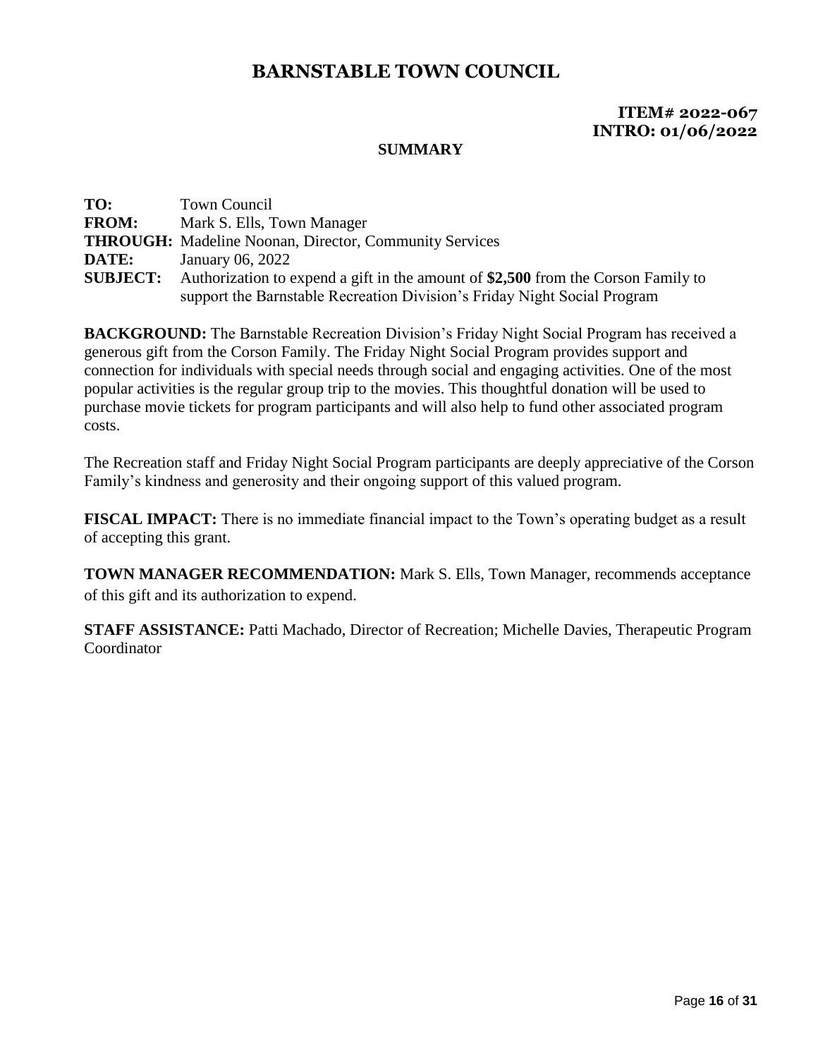### **ITEM# 2022-067 INTRO: 01/06/2022**

#### **SUMMARY**

**TO:** Town Council **FROM:** Mark S. Ells, Town Manager **THROUGH:** Madeline Noonan, Director, Community Services **DATE:** January 06, 2022 **SUBJECT:** Authorization to expend a gift in the amount of **\$2,500** from the Corson Family to support the Barnstable Recreation Division's Friday Night Social Program

**BACKGROUND:** The Barnstable Recreation Division's Friday Night Social Program has received a generous gift from the Corson Family. The Friday Night Social Program provides support and connection for individuals with special needs through social and engaging activities. One of the most popular activities is the regular group trip to the movies. This thoughtful donation will be used to purchase movie tickets for program participants and will also help to fund other associated program costs.

The Recreation staff and Friday Night Social Program participants are deeply appreciative of the Corson Family's kindness and generosity and their ongoing support of this valued program.

**FISCAL IMPACT:** There is no immediate financial impact to the Town's operating budget as a result of accepting this grant.

**TOWN MANAGER RECOMMENDATION:** Mark S. Ells, Town Manager, recommends acceptance of this gift and its authorization to expend.

**STAFF ASSISTANCE:** Patti Machado, Director of Recreation; Michelle Davies, Therapeutic Program Coordinator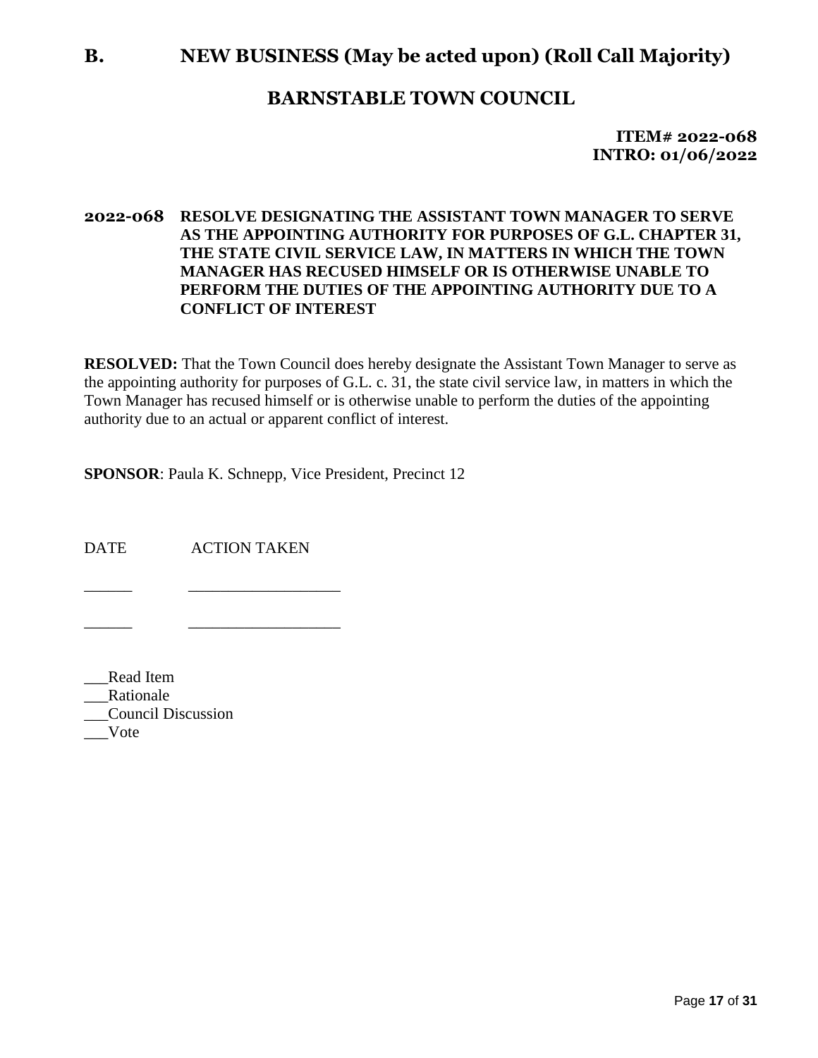### **B. NEW BUSINESS (May be acted upon) (Roll Call Majority)**

### **BARNSTABLE TOWN COUNCIL**

**ITEM# 2022-068 INTRO: 01/06/2022**

### **2022-068 RESOLVE DESIGNATING THE ASSISTANT TOWN MANAGER TO SERVE AS THE APPOINTING AUTHORITY FOR PURPOSES OF G.L. CHAPTER 31, THE STATE CIVIL SERVICE LAW, IN MATTERS IN WHICH THE TOWN MANAGER HAS RECUSED HIMSELF OR IS OTHERWISE UNABLE TO PERFORM THE DUTIES OF THE APPOINTING AUTHORITY DUE TO A CONFLICT OF INTEREST**

**RESOLVED:** That the Town Council does hereby designate the Assistant Town Manager to serve as the appointing authority for purposes of G.L. c. 31, the state civil service law, in matters in which the Town Manager has recused himself or is otherwise unable to perform the duties of the appointing authority due to an actual or apparent conflict of interest.

**SPONSOR**: Paula K. Schnepp, Vice President, Precinct 12

DATE ACTION TAKEN

\_\_\_\_\_\_ \_\_\_\_\_\_\_\_\_\_\_\_\_\_\_\_\_\_\_

\_\_\_\_\_\_ \_\_\_\_\_\_\_\_\_\_\_\_\_\_\_\_\_\_\_

\_\_\_Read Item \_\_\_Rationale \_\_\_Council Discussion \_\_\_Vote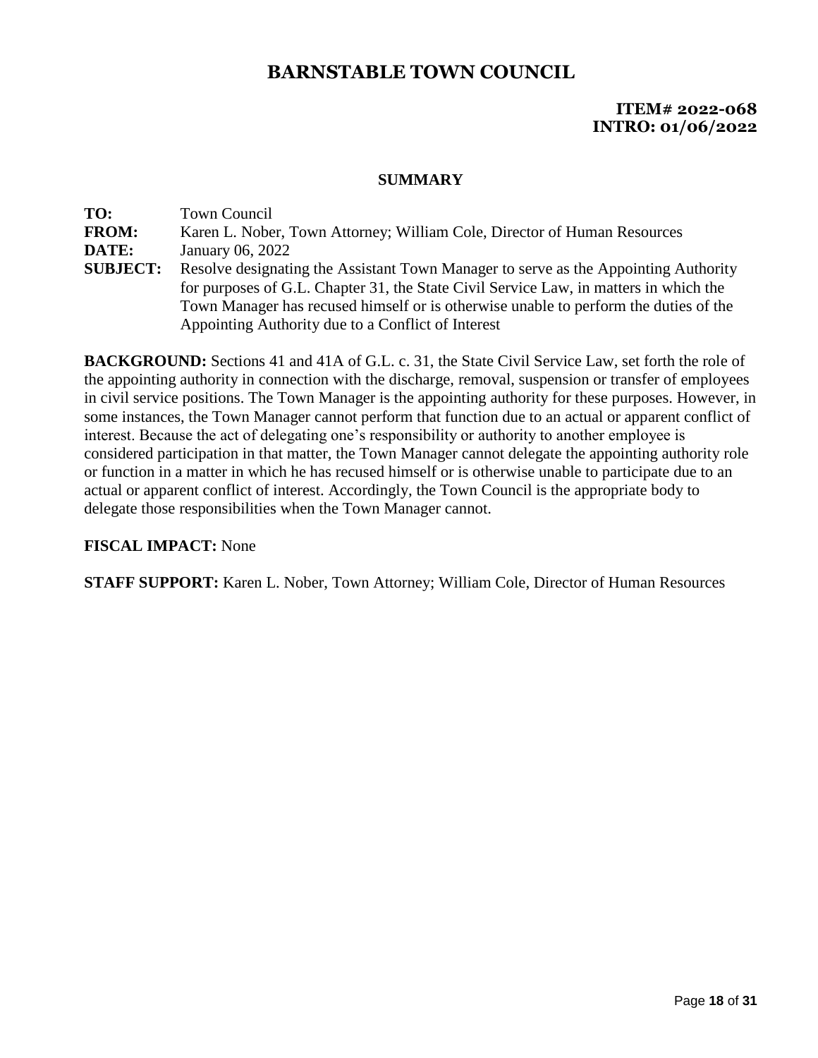### **ITEM# 2022-068 INTRO: 01/06/2022**

#### **SUMMARY**

**TO:** Town Council **FROM:** Karen L. Nober, Town Attorney; William Cole, Director of Human Resources **DATE:** January 06, 2022 **SUBJECT:** Resolve designating the Assistant Town Manager to serve as the Appointing Authority for purposes of G.L. Chapter 31, the State Civil Service Law, in matters in which the Town Manager has recused himself or is otherwise unable to perform the duties of the Appointing Authority due to a Conflict of Interest

**BACKGROUND:** Sections 41 and 41A of G.L. c. 31, the State Civil Service Law, set forth the role of the appointing authority in connection with the discharge, removal, suspension or transfer of employees in civil service positions. The Town Manager is the appointing authority for these purposes. However, in some instances, the Town Manager cannot perform that function due to an actual or apparent conflict of interest. Because the act of delegating one's responsibility or authority to another employee is considered participation in that matter, the Town Manager cannot delegate the appointing authority role or function in a matter in which he has recused himself or is otherwise unable to participate due to an actual or apparent conflict of interest. Accordingly, the Town Council is the appropriate body to delegate those responsibilities when the Town Manager cannot.

### **FISCAL IMPACT:** None

**STAFF SUPPORT:** Karen L. Nober, Town Attorney; William Cole, Director of Human Resources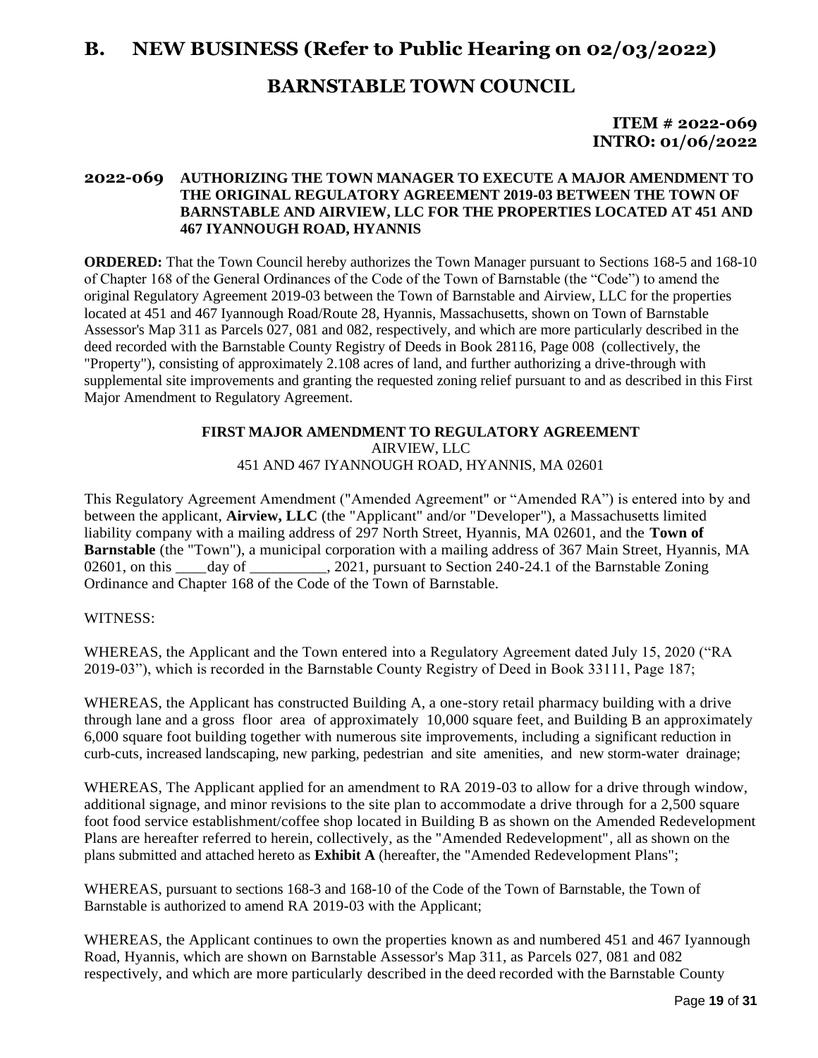### **B. NEW BUSINESS (Refer to Public Hearing on 02/03/2022)**

### **BARNSTABLE TOWN COUNCIL**

**ITEM # 2022-069 INTRO: 01/06/2022**

#### **2022-069 AUTHORIZING THE TOWN MANAGER TO EXECUTE A MAJOR AMENDMENT TO THE ORIGINAL REGULATORY AGREEMENT 2019-03 BETWEEN THE TOWN OF BARNSTABLE AND AIRVIEW, LLC FOR THE PROPERTIES LOCATED AT 451 AND 467 IYANNOUGH ROAD, HYANNIS**

**ORDERED:** That the Town Council hereby authorizes the Town Manager pursuant to Sections 168-5 and 168-10 of Chapter 168 of the General Ordinances of the Code of the Town of Barnstable (the "Code") to amend the original Regulatory Agreement 2019-03 between the Town of Barnstable and Airview, LLC for the properties located at 451 and 467 Iyannough Road/Route 28, Hyannis, Massachusetts, shown on Town of Barnstable Assessor's Map 311 as Parcels 027, 081 and 082, respectively, and which are more particularly described in the deed recorded with the Barnstable County Registry of Deeds in Book 28116, Page 008 (collectively, the "Property"), consisting of approximately 2.108 acres of land, and further authorizing a drive-through with supplemental site improvements and granting the requested zoning relief pursuant to and as described in this First Major Amendment to Regulatory Agreement.

#### **FIRST MAJOR AMENDMENT TO REGULATORY AGREEMENT** AIRVIEW, LLC 451 AND 467 IYANNOUGH ROAD, HYANNIS, MA 02601

This Regulatory Agreement Amendment ("Amended Agreement" or "Amended RA") is entered into by and between the applicant, **Airview, LLC** (the "Applicant" and/or "Developer"), a Massachusetts limited liability company with a mailing address of 297 North Street, Hyannis, MA 02601, and the **Town of Barnstable** (the "Town"), a municipal corporation with a mailing address of 367 Main Street, Hyannis, MA 02601, on this day of  $\qquad \qquad$ , 2021, pursuant to Section 240-24.1 of the Barnstable Zoning Ordinance and Chapter 168 of the Code of the Town of Barnstable.

#### WITNESS:

WHEREAS, the Applicant and the Town entered into a Regulatory Agreement dated July 15, 2020 ("RA 2019-03"), which is recorded in the Barnstable County Registry of Deed in Book 33111, Page 187;

WHEREAS, the Applicant has constructed Building A, a one-story retail pharmacy building with a drive through lane and a gross floor area of approximately 10,000 square feet, and Building B an approximately 6,000 square foot building together with numerous site improvements, including a significant reduction in curb-cuts, increased landscaping, new parking, pedestrian and site amenities, and new storm-water drainage;

WHEREAS, The Applicant applied for an amendment to RA 2019-03 to allow for a drive through window, additional signage, and minor revisions to the site plan to accommodate a drive through for a 2,500 square foot food service establishment/coffee shop located in Building B as shown on the Amended Redevelopment Plans are hereafter referred to herein, collectively, as the "Amended Redevelopment", all as shown on the plans submitted and attached hereto as **Exhibit A** (hereafter, the "Amended Redevelopment Plans";

WHEREAS, pursuant to sections 168-3 and 168-10 of the Code of the Town of Barnstable, the Town of Barnstable is authorized to amend RA 2019-03 with the Applicant;

WHEREAS, the Applicant continues to own the properties known as and numbered 451 and 467 Iyannough Road, Hyannis, which are shown on Barnstable Assessor's Map 311, as Parcels 027, 081 and 082 respectively, and which are more particularly described in the deed recorded with the Barnstable County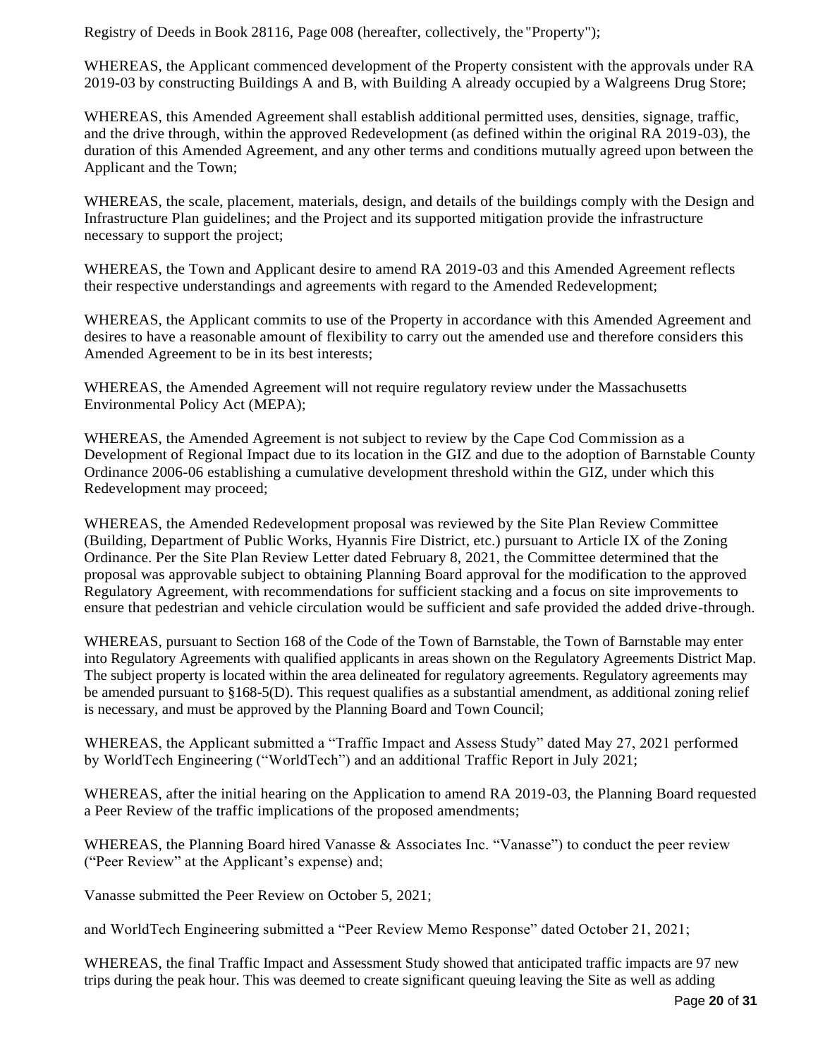Registry of Deeds in Book 28116, Page 008 (hereafter, collectively, the "Property");

WHEREAS, the Applicant commenced development of the Property consistent with the approvals under RA 2019-03 by constructing Buildings A and B, with Building A already occupied by a Walgreens Drug Store;

WHEREAS, this Amended Agreement shall establish additional permitted uses, densities, signage, traffic, and the drive through, within the approved Redevelopment (as defined within the original RA 2019-03), the duration of this Amended Agreement, and any other terms and conditions mutually agreed upon between the Applicant and the Town;

WHEREAS, the scale, placement, materials, design, and details of the buildings comply with the Design and Infrastructure Plan guidelines; and the Project and its supported mitigation provide the infrastructure necessary to support the project;

WHEREAS, the Town and Applicant desire to amend RA 2019-03 and this Amended Agreement reflects their respective understandings and agreements with regard to the Amended Redevelopment;

WHEREAS, the Applicant commits to use of the Property in accordance with this Amended Agreement and desires to have a reasonable amount of flexibility to carry out the amended use and therefore considers this Amended Agreement to be in its best interests;

WHEREAS, the Amended Agreement will not require regulatory review under the Massachusetts Environmental Policy Act (MEPA);

WHEREAS, the Amended Agreement is not subject to review by the Cape Cod Commission as a Development of Regional Impact due to its location in the GIZ and due to the adoption of Barnstable County Ordinance 2006-06 establishing a cumulative development threshold within the GIZ, under which this Redevelopment may proceed;

WHEREAS, the Amended Redevelopment proposal was reviewed by the Site Plan Review Committee (Building, Department of Public Works, Hyannis Fire District, etc.) pursuant to Article IX of the Zoning Ordinance. Per the Site Plan Review Letter dated February 8, 2021, the Committee determined that the proposal was approvable subject to obtaining Planning Board approval for the modification to the approved Regulatory Agreement, with recommendations for sufficient stacking and a focus on site improvements to ensure that pedestrian and vehicle circulation would be sufficient and safe provided the added drive-through.

WHEREAS, pursuant to Section 168 of the Code of the Town of Barnstable, the Town of Barnstable may enter into Regulatory Agreements with qualified applicants in areas shown on the Regulatory Agreements District Map. The subject property is located within the area delineated for regulatory agreements. Regulatory agreements may be amended pursuant to §168-5(D). This request qualifies as a substantial amendment, as additional zoning relief is necessary, and must be approved by the Planning Board and Town Council;

WHEREAS, the Applicant submitted a "Traffic Impact and Assess Study" dated May 27, 2021 performed by WorldTech Engineering ("WorldTech") and an additional Traffic Report in July 2021;

WHEREAS, after the initial hearing on the Application to amend RA 2019-03, the Planning Board requested a Peer Review of the traffic implications of the proposed amendments;

WHEREAS, the Planning Board hired Vanasse & Associates Inc. "Vanasse") to conduct the peer review ("Peer Review" at the Applicant's expense) and;

Vanasse submitted the Peer Review on October 5, 2021;

and WorldTech Engineering submitted a "Peer Review Memo Response" dated October 21, 2021;

WHEREAS, the final Traffic Impact and Assessment Study showed that anticipated traffic impacts are 97 new trips during the peak hour. This was deemed to create significant queuing leaving the Site as well as adding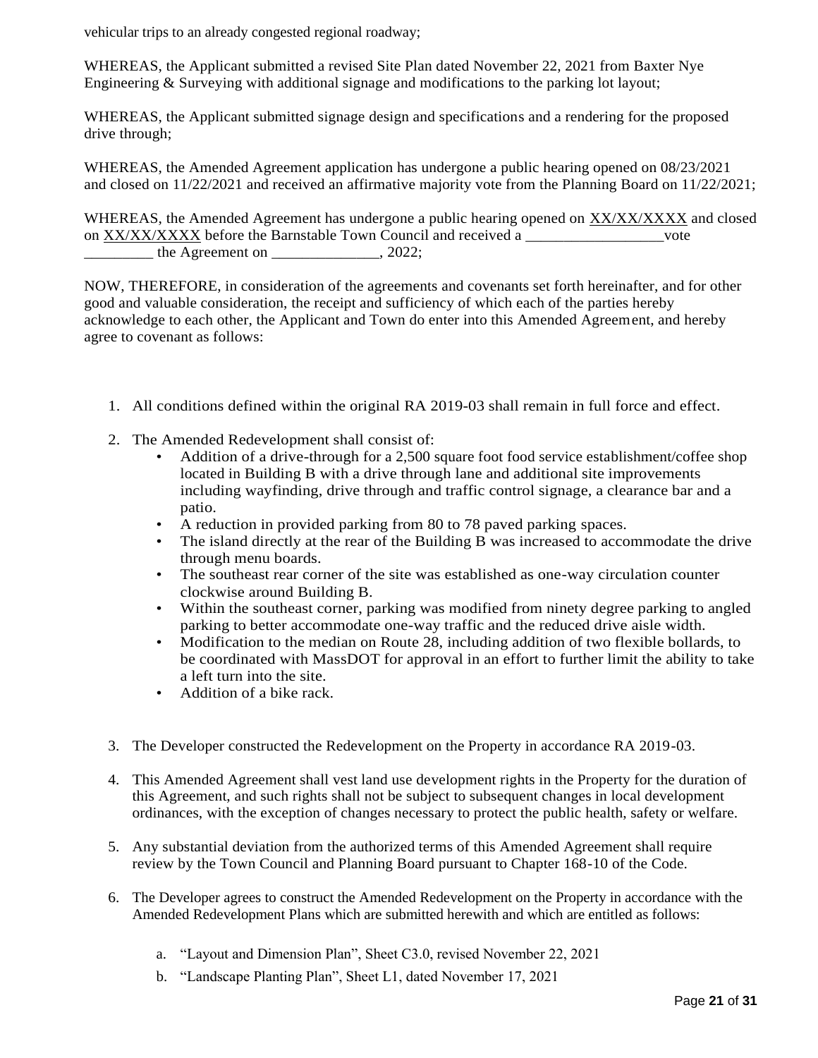vehicular trips to an already congested regional roadway;

WHEREAS, the Applicant submitted a revised Site Plan dated November 22, 2021 from Baxter Nye Engineering & Surveying with additional signage and modifications to the parking lot layout;

WHEREAS, the Applicant submitted signage design and specifications and a rendering for the proposed drive through;

WHEREAS, the Amended Agreement application has undergone a public hearing opened on 08/23/2021 and closed on 11/22/2021 and received an affirmative majority vote from the Planning Board on 11/22/2021;

WHEREAS, the Amended Agreement has undergone a public hearing opened on XX/XX/XXXX and closed on XX/XX/XXXX before the Barnstable Town Council and received a \_\_\_\_\_\_\_\_\_\_\_\_\_\_\_vote \_\_\_\_\_\_\_\_\_ the Agreement on \_\_\_\_\_\_\_\_\_\_\_\_\_\_, 2022;

NOW, THEREFORE, in consideration of the agreements and covenants set forth hereinafter, and for other good and valuable consideration, the receipt and sufficiency of which each of the parties hereby acknowledge to each other, the Applicant and Town do enter into this Amended Agreement, and hereby agree to covenant as follows:

- 1. All conditions defined within the original RA 2019-03 shall remain in full force and effect.
- 2. The Amended Redevelopment shall consist of:
	- Addition of a drive-through for a 2,500 square foot food service establishment/coffee shop located in Building B with a drive through lane and additional site improvements including wayfinding, drive through and traffic control signage, a clearance bar and a patio.
	- A reduction in provided parking from 80 to 78 paved parking spaces.
	- The island directly at the rear of the Building B was increased to accommodate the drive through menu boards.
	- The southeast rear corner of the site was established as one-way circulation counter clockwise around Building B.
	- Within the southeast corner, parking was modified from ninety degree parking to angled parking to better accommodate one-way traffic and the reduced drive aisle width.
	- Modification to the median on Route 28, including addition of two flexible bollards, to be coordinated with MassDOT for approval in an effort to further limit the ability to take a left turn into the site.
	- Addition of a bike rack.
- 3. The Developer constructed the Redevelopment on the Property in accordance RA 2019-03.
- 4. This Amended Agreement shall vest land use development rights in the Property for the duration of this Agreement, and such rights shall not be subject to subsequent changes in local development ordinances, with the exception of changes necessary to protect the public health, safety or welfare.
- 5. Any substantial deviation from the authorized terms of this Amended Agreement shall require review by the Town Council and Planning Board pursuant to Chapter 168-10 of the Code.
- 6. The Developer agrees to construct the Amended Redevelopment on the Property in accordance with the Amended Redevelopment Plans which are submitted herewith and which are entitled as follows:
	- a. "Layout and Dimension Plan", Sheet C3.0, revised November 22, 2021
	- b. "Landscape Planting Plan", Sheet L1, dated November 17, 2021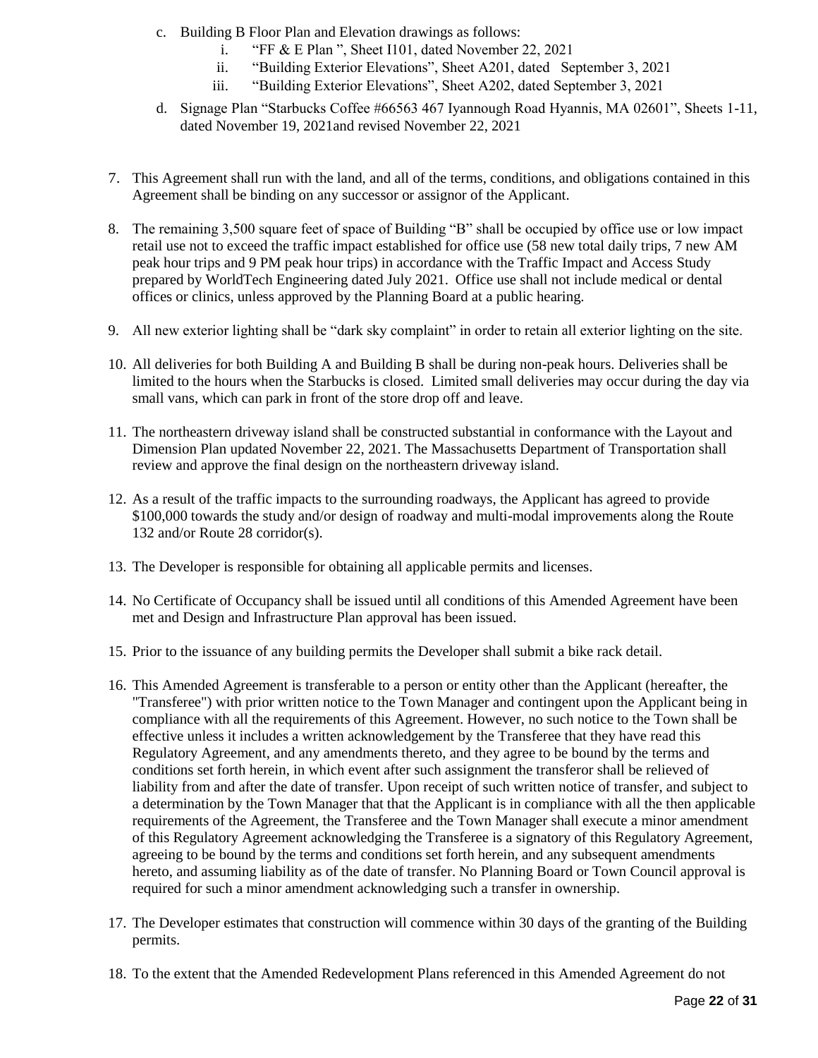- c. Building B Floor Plan and Elevation drawings as follows:
	- i. "FF & E Plan ", Sheet I101, dated November 22, 2021
	- ii. "Building Exterior Elevations", Sheet A201, dated September 3, 2021
	- iii. "Building Exterior Elevations", Sheet A202, dated September 3, 2021
- d. Signage Plan "Starbucks Coffee #66563 467 Iyannough Road Hyannis, MA 02601", Sheets 1-11, dated November 19, 2021and revised November 22, 2021
- 7. This Agreement shall run with the land, and all of the terms, conditions, and obligations contained in this Agreement shall be binding on any successor or assignor of the Applicant.
- 8. The remaining 3,500 square feet of space of Building "B" shall be occupied by office use or low impact retail use not to exceed the traffic impact established for office use (58 new total daily trips, 7 new AM peak hour trips and 9 PM peak hour trips) in accordance with the Traffic Impact and Access Study prepared by WorldTech Engineering dated July 2021. Office use shall not include medical or dental offices or clinics, unless approved by the Planning Board at a public hearing.
- 9. All new exterior lighting shall be "dark sky complaint" in order to retain all exterior lighting on the site.
- 10. All deliveries for both Building A and Building B shall be during non-peak hours. Deliveries shall be limited to the hours when the Starbucks is closed. Limited small deliveries may occur during the day via small vans, which can park in front of the store drop off and leave.
- 11. The northeastern driveway island shall be constructed substantial in conformance with the Layout and Dimension Plan updated November 22, 2021. The Massachusetts Department of Transportation shall review and approve the final design on the northeastern driveway island.
- 12. As a result of the traffic impacts to the surrounding roadways, the Applicant has agreed to provide \$100,000 towards the study and/or design of roadway and multi-modal improvements along the Route 132 and/or Route 28 corridor(s).
- 13. The Developer is responsible for obtaining all applicable permits and licenses.
- 14. No Certificate of Occupancy shall be issued until all conditions of this Amended Agreement have been met and Design and Infrastructure Plan approval has been issued.
- 15. Prior to the issuance of any building permits the Developer shall submit a bike rack detail.
- 16. This Amended Agreement is transferable to a person or entity other than the Applicant (hereafter, the "Transferee") with prior written notice to the Town Manager and contingent upon the Applicant being in compliance with all the requirements of this Agreement. However, no such notice to the Town shall be effective unless it includes a written acknowledgement by the Transferee that they have read this Regulatory Agreement, and any amendments thereto, and they agree to be bound by the terms and conditions set forth herein, in which event after such assignment the transferor shall be relieved of liability from and after the date of transfer. Upon receipt of such written notice of transfer, and subject to a determination by the Town Manager that that the Applicant is in compliance with all the then applicable requirements of the Agreement, the Transferee and the Town Manager shall execute a minor amendment of this Regulatory Agreement acknowledging the Transferee is a signatory of this Regulatory Agreement, agreeing to be bound by the terms and conditions set forth herein, and any subsequent amendments hereto, and assuming liability as of the date of transfer. No Planning Board or Town Council approval is required for such a minor amendment acknowledging such a transfer in ownership.
- 17. The Developer estimates that construction will commence within 30 days of the granting of the Building permits.
- 18. To the extent that the Amended Redevelopment Plans referenced in this Amended Agreement do not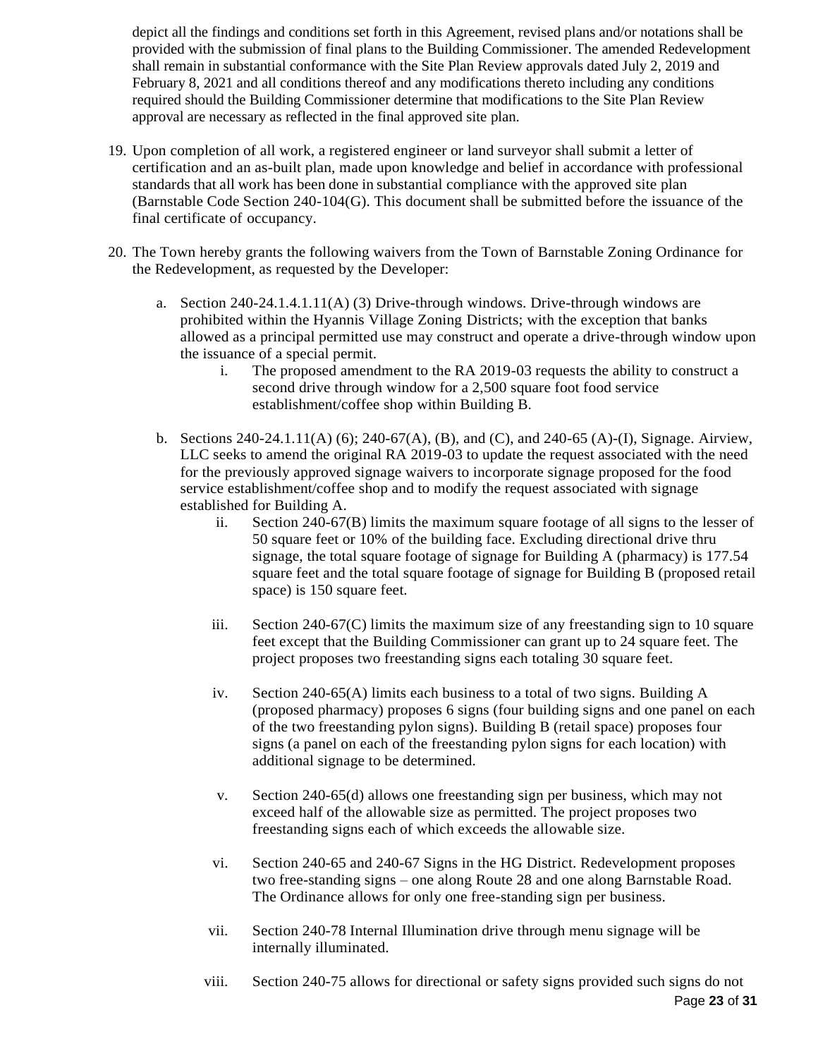depict all the findings and conditions set forth in this Agreement, revised plans and/or notations shall be provided with the submission of final plans to the Building Commissioner. The amended Redevelopment shall remain in substantial conformance with the Site Plan Review approvals dated July 2, 2019 and February 8, 2021 and all conditions thereof and any modifications thereto including any conditions required should the Building Commissioner determine that modifications to the Site Plan Review approval are necessary as reflected in the final approved site plan.

- 19. Upon completion of all work, a registered engineer or land surveyor shall submit a letter of certification and an as-built plan, made upon knowledge and belief in accordance with professional standards that all work has been done in substantial compliance with the approved site plan (Barnstable Code Section 240-104(G). This document shall be submitted before the issuance of the final certificate of occupancy.
- 20. The Town hereby grants the following waivers from the Town of Barnstable Zoning Ordinance for the Redevelopment, as requested by the Developer:
	- a. Section 240-24.1.4.1.11(A) (3) Drive-through windows. Drive-through windows are prohibited within the Hyannis Village Zoning Districts; with the exception that banks allowed as a principal permitted use may construct and operate a drive-through window upon the issuance of a special permit.
		- i. The proposed amendment to the RA 2019-03 requests the ability to construct a second drive through window for a 2,500 square foot food service establishment/coffee shop within Building B.
	- b. Sections 240-24.1.11(A) (6); 240-67(A), (B), and (C), and 240-65 (A)-(I), Signage. Airview, LLC seeks to amend the original RA 2019-03 to update the request associated with the need for the previously approved signage waivers to incorporate signage proposed for the food service establishment/coffee shop and to modify the request associated with signage established for Building A.
		- ii. Section 240-67(B) limits the maximum square footage of all signs to the lesser of 50 square feet or 10% of the building face. Excluding directional drive thru signage, the total square footage of signage for Building A (pharmacy) is 177.54 square feet and the total square footage of signage for Building B (proposed retail space) is 150 square feet.
		- iii. Section 240-67(C) limits the maximum size of any freestanding sign to 10 square feet except that the Building Commissioner can grant up to 24 square feet. The project proposes two freestanding signs each totaling 30 square feet.
		- iv. Section 240-65(A) limits each business to a total of two signs. Building A (proposed pharmacy) proposes 6 signs (four building signs and one panel on each of the two freestanding pylon signs). Building B (retail space) proposes four signs (a panel on each of the freestanding pylon signs for each location) with additional signage to be determined.
		- v. Section 240-65(d) allows one freestanding sign per business, which may not exceed half of the allowable size as permitted. The project proposes two freestanding signs each of which exceeds the allowable size.
		- vi. Section 240-65 and 240-67 Signs in the HG District. Redevelopment proposes two free-standing signs – one along Route 28 and one along Barnstable Road. The Ordinance allows for only one free-standing sign per business.
		- vii. Section 240-78 Internal Illumination drive through menu signage will be internally illuminated.
		- Page **23** of **31** viii. Section 240-75 allows for directional or safety signs provided such signs do not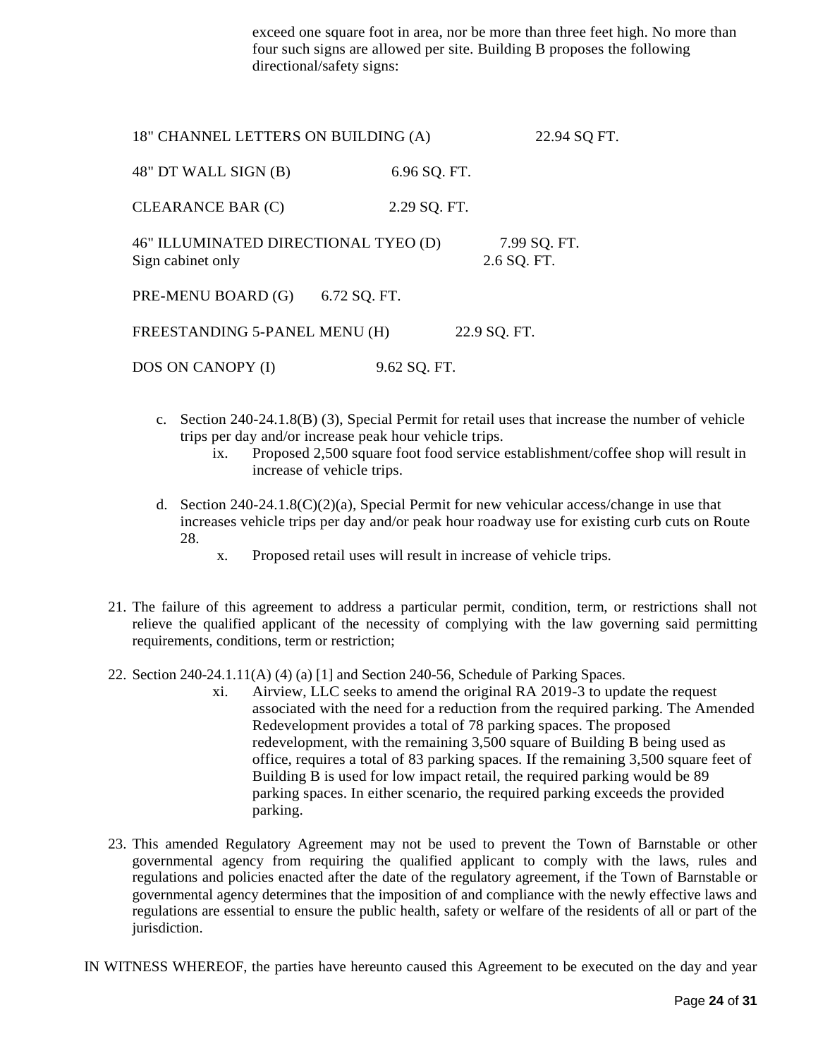exceed one square foot in area, nor be more than three feet high. No more than four such signs are allowed per site. Building B proposes the following directional/safety signs:

| 18" CHANNEL LETTERS ON BUILDING (A)                       |              | 22.94 SQ FT.                |
|-----------------------------------------------------------|--------------|-----------------------------|
| 48" DT WALL SIGN (B)                                      | 6.96 SQ. FT. |                             |
| <b>CLEARANCE BAR (C)</b>                                  | 2.29 SQ. FT. |                             |
| 46" ILLUMINATED DIRECTIONAL TYEO (D)<br>Sign cabinet only |              | 7.99 SQ. FT.<br>2.6 SQ. FT. |
| PRE-MENU BOARD (G)                                        | 6.72 SQ. FT. |                             |
| FREESTANDING 5-PANEL MENU (H)                             |              | 22.9 SQ. FT.                |
| DOS ON CANOPY (I)                                         | 9.62 SQ. FT. |                             |

- c. Section 240-24.1.8(B) (3), Special Permit for retail uses that increase the number of vehicle trips per day and/or increase peak hour vehicle trips.
	- ix. Proposed 2,500 square foot food service establishment/coffee shop will result in increase of vehicle trips.
- d. Section  $240-24.1.8(C)(2)(a)$ , Special Permit for new vehicular access/change in use that increases vehicle trips per day and/or peak hour roadway use for existing curb cuts on Route 28.
	- x. Proposed retail uses will result in increase of vehicle trips.
- 21. The failure of this agreement to address a particular permit, condition, term, or restrictions shall not relieve the qualified applicant of the necessity of complying with the law governing said permitting requirements, conditions, term or restriction;
- 22. Section 240-24.1.11(A) (4) (a) [1] and Section 240-56, Schedule of Parking Spaces.
	- xi. Airview, LLC seeks to amend the original RA 2019-3 to update the request associated with the need for a reduction from the required parking. The Amended Redevelopment provides a total of 78 parking spaces. The proposed redevelopment, with the remaining 3,500 square of Building B being used as office, requires a total of 83 parking spaces. If the remaining 3,500 square feet of Building  $\bar{B}$  is used for low impact retail, the required parking would be 89 parking spaces. In either scenario, the required parking exceeds the provided parking.
- 23. This amended Regulatory Agreement may not be used to prevent the Town of Barnstable or other governmental agency from requiring the qualified applicant to comply with the laws, rules and regulations and policies enacted after the date of the regulatory agreement, if the Town of Barnstable or governmental agency determines that the imposition of and compliance with the newly effective laws and regulations are essential to ensure the public health, safety or welfare of the residents of all or part of the jurisdiction.

IN WITNESS WHEREOF, the parties have hereunto caused this Agreement to be executed on the day and year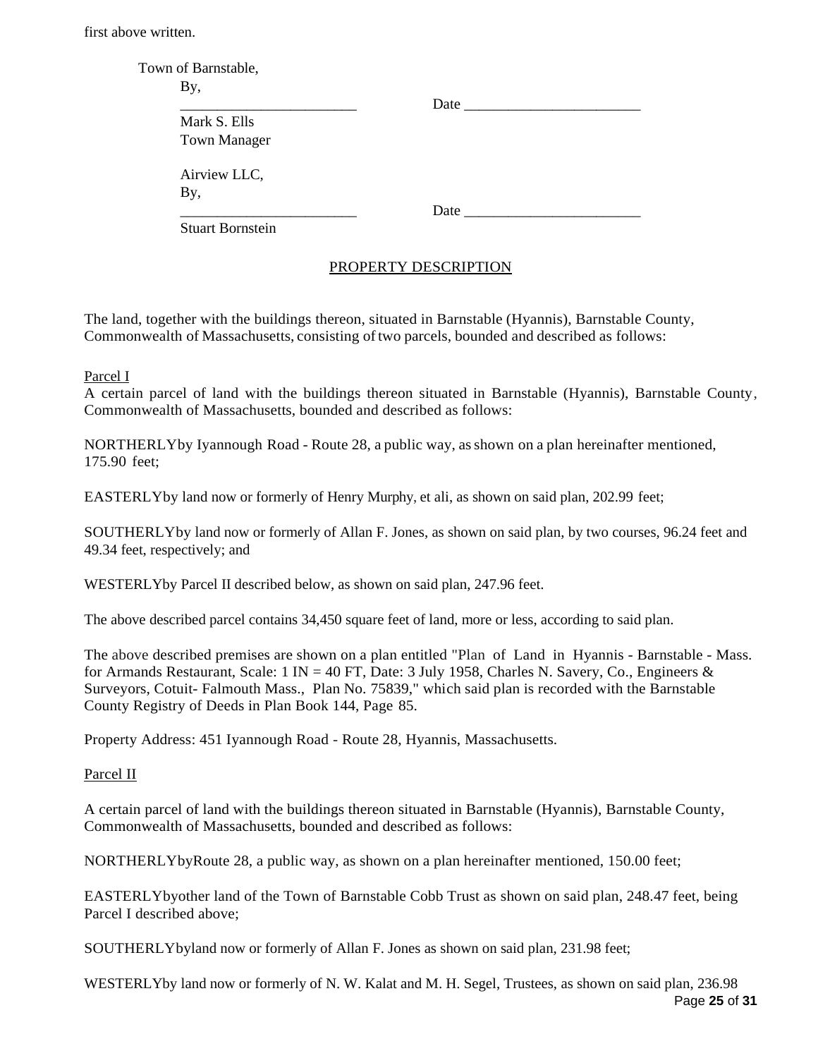first above written.

| Town of Barnstable,     |                                                                                                                                                                                                                                     |
|-------------------------|-------------------------------------------------------------------------------------------------------------------------------------------------------------------------------------------------------------------------------------|
| By,                     |                                                                                                                                                                                                                                     |
|                         | <b>Date</b>                                                                                                                                                                                                                         |
| Mark S. Ells            |                                                                                                                                                                                                                                     |
| <b>Town Manager</b>     |                                                                                                                                                                                                                                     |
| Airview LLC,            |                                                                                                                                                                                                                                     |
| By,                     |                                                                                                                                                                                                                                     |
|                         | <b>Date</b> and the part of the same of the same of the same of the same of the same of the same of the same of the same of the same of the same of the same of the same of the same of the same of the same of the same of the sam |
| <b>Stuart Bornstein</b> |                                                                                                                                                                                                                                     |

### PROPERTY DESCRIPTION

The land, together with the buildings thereon, situated in Barnstable (Hyannis), Barnstable County, Commonwealth of Massachusetts, consisting of two parcels, bounded and described as follows:

#### Parcel I

A certain parcel of land with the buildings thereon situated in Barnstable (Hyannis), Barnstable County, Commonwealth of Massachusetts, bounded and described as follows:

NORTHERLYby Iyannough Road - Route 28, a public way, asshown on a plan hereinafter mentioned, 175.90 feet;

EASTERLYby land now or formerly of Henry Murphy, et ali, as shown on said plan, 202.99 feet;

SOUTHERLYby land now or formerly of Allan F. Jones, as shown on said plan, by two courses, 96.24 feet and 49.34 feet, respectively; and

WESTERLYby Parcel II described below, as shown on said plan, 247.96 feet.

The above described parcel contains 34,450 square feet of land, more or less, according to said plan.

The above described premises are shown on a plan entitled "Plan of Land in Hyannis - Barnstable - Mass. for Armands Restaurant, Scale: 1 IN = 40 FT, Date: 3 July 1958, Charles N. Savery, Co., Engineers  $\&$ Surveyors, Cotuit- Falmouth Mass., Plan No. 75839," which said plan is recorded with the Barnstable County Registry of Deeds in Plan Book 144, Page 85.

Property Address: 451 Iyannough Road - Route 28, Hyannis, Massachusetts.

Parcel II

A certain parcel of land with the buildings thereon situated in Barnstable (Hyannis), Barnstable County, Commonwealth of Massachusetts, bounded and described as follows:

NORTHERLYbyRoute 28, a public way, as shown on a plan hereinafter mentioned, 150.00 feet;

EASTERLYbyother land of the Town of Barnstable Cobb Trust as shown on said plan, 248.47 feet, being Parcel I described above;

SOUTHERLYbyland now or formerly of Allan F. Jones as shown on said plan, 231.98 feet;

Page **25** of **31** WESTERLYby land now or formerly of N. W. Kalat and M. H. Segel, Trustees, as shown on said plan, 236.98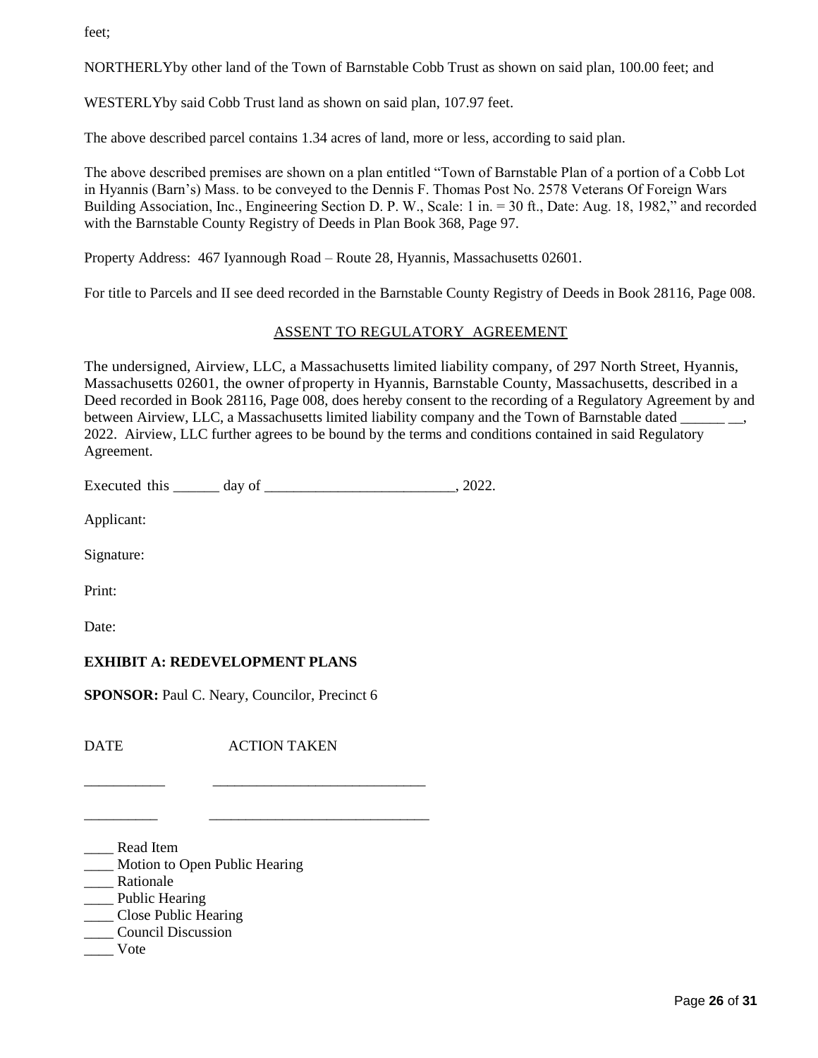feet;

NORTHERLYby other land of the Town of Barnstable Cobb Trust as shown on said plan, 100.00 feet; and

WESTERLYby said Cobb Trust land as shown on said plan, 107.97 feet.

The above described parcel contains 1.34 acres of land, more or less, according to said plan.

The above described premises are shown on a plan entitled "Town of Barnstable Plan of a portion of a Cobb Lot in Hyannis (Barn's) Mass. to be conveyed to the Dennis F. Thomas Post No. 2578 Veterans Of Foreign Wars Building Association, Inc., Engineering Section D. P. W., Scale: 1 in. = 30 ft., Date: Aug. 18, 1982," and recorded with the Barnstable County Registry of Deeds in Plan Book 368, Page 97.

Property Address: 467 Iyannough Road – Route 28, Hyannis, Massachusetts 02601.

For title to Parcels and II see deed recorded in the Barnstable County Registry of Deeds in Book 28116, Page 008.

#### ASSENT TO REGULATORY AGREEMENT

The undersigned, Airview, LLC, a Massachusetts limited liability company, of 297 North Street, Hyannis, Massachusetts 02601, the owner ofproperty in Hyannis, Barnstable County, Massachusetts, described in a Deed recorded in Book 28116, Page 008, does hereby consent to the recording of a Regulatory Agreement by and between Airview, LLC, a Massachusetts limited liability company and the Town of Barnstable dated 2022. Airview, LLC further agrees to be bound by the terms and conditions contained in said Regulatory Agreement.

Executed this \_\_\_\_\_\_ day of \_\_\_\_\_\_\_\_\_\_\_\_\_\_\_\_\_\_\_\_\_\_\_\_\_\_, 2022.

Applicant:

Signature:

Print:

Date:

### **EXHIBIT A: REDEVELOPMENT PLANS**

**SPONSOR:** Paul C. Neary, Councilor, Precinct 6

\_\_\_\_\_\_\_\_\_\_\_ \_\_\_\_\_\_\_\_\_\_\_\_\_\_\_\_\_\_\_\_\_\_\_\_\_\_\_\_\_

\_\_\_\_\_\_\_\_\_\_ \_\_\_\_\_\_\_\_\_\_\_\_\_\_\_\_\_\_\_\_\_\_\_\_\_\_\_\_\_\_

DATE ACTION TAKEN

\_\_\_\_ Read Item

\_\_\_\_ Motion to Open Public Hearing

\_\_\_\_ Rationale

Public Hearing

\_\_\_\_ Close Public Hearing

\_\_\_\_ Council Discussion

\_\_\_\_ Vote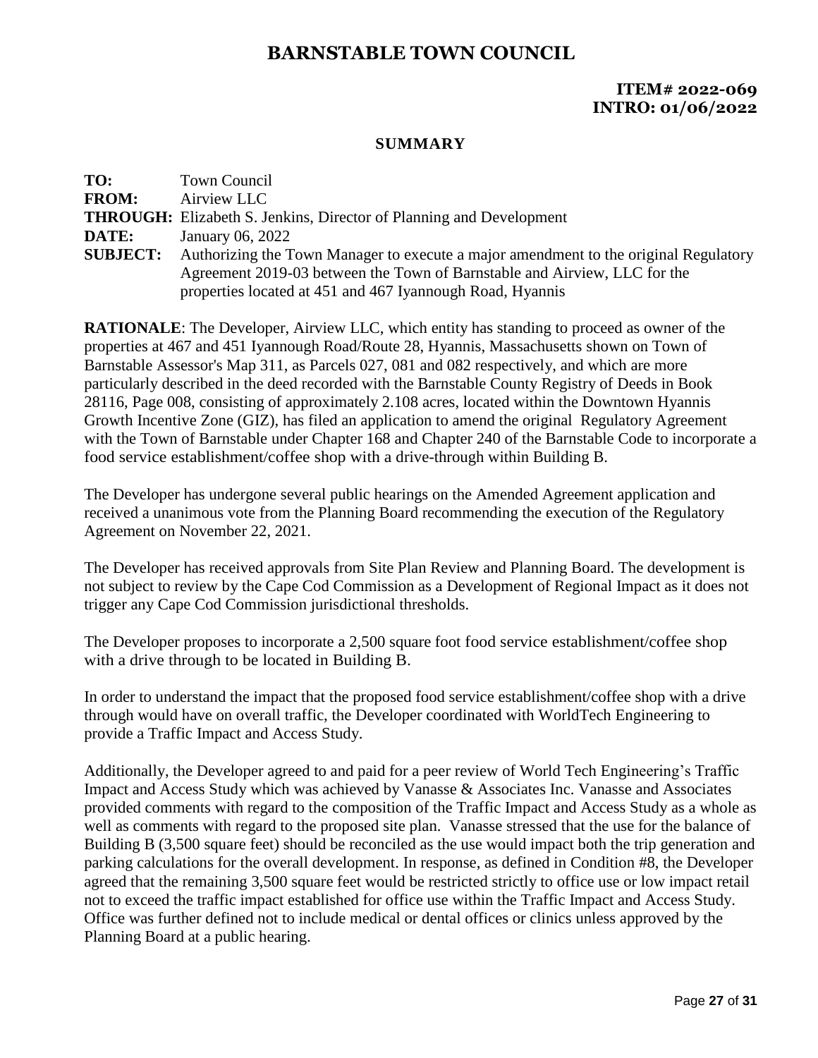### **ITEM# 2022-069 INTRO: 01/06/2022**

#### **SUMMARY**

| TO:             | Town Council                                                                         |
|-----------------|--------------------------------------------------------------------------------------|
| <b>FROM:</b>    | Airview LLC                                                                          |
|                 | <b>THROUGH:</b> Elizabeth S. Jenkins, Director of Planning and Development           |
| DATE:           | January 06, 2022                                                                     |
| <b>SUBJECT:</b> | Authorizing the Town Manager to execute a major amendment to the original Regulatory |
|                 | Agreement 2019-03 between the Town of Barnstable and Airview, LLC for the            |
|                 | properties located at 451 and 467 Iyannough Road, Hyannis                            |

**RATIONALE**: The Developer, Airview LLC, which entity has standing to proceed as owner of the properties at 467 and 451 Iyannough Road/Route 28, Hyannis, Massachusetts shown on Town of Barnstable Assessor's Map 311, as Parcels 027, 081 and 082 respectively, and which are more particularly described in the deed recorded with the Barnstable County Registry of Deeds in Book 28116, Page 008, consisting of approximately 2.108 acres, located within the Downtown Hyannis Growth Incentive Zone (GIZ), has filed an application to amend the original Regulatory Agreement with the Town of Barnstable under Chapter 168 and Chapter 240 of the Barnstable Code to incorporate a food service establishment/coffee shop with a drive-through within Building B.

The Developer has undergone several public hearings on the Amended Agreement application and received a unanimous vote from the Planning Board recommending the execution of the Regulatory Agreement on November 22, 2021.

The Developer has received approvals from Site Plan Review and Planning Board. The development is not subject to review by the Cape Cod Commission as a Development of Regional Impact as it does not trigger any Cape Cod Commission jurisdictional thresholds.

The Developer proposes to incorporate a 2,500 square foot food service establishment/coffee shop with a drive through to be located in Building B.

In order to understand the impact that the proposed food service establishment/coffee shop with a drive through would have on overall traffic, the Developer coordinated with WorldTech Engineering to provide a Traffic Impact and Access Study.

Additionally, the Developer agreed to and paid for a peer review of World Tech Engineering's Traffic Impact and Access Study which was achieved by Vanasse & Associates Inc. Vanasse and Associates provided comments with regard to the composition of the Traffic Impact and Access Study as a whole as well as comments with regard to the proposed site plan. Vanasse stressed that the use for the balance of Building B (3,500 square feet) should be reconciled as the use would impact both the trip generation and parking calculations for the overall development. In response, as defined in Condition #8, the Developer agreed that the remaining 3,500 square feet would be restricted strictly to office use or low impact retail not to exceed the traffic impact established for office use within the Traffic Impact and Access Study. Office was further defined not to include medical or dental offices or clinics unless approved by the Planning Board at a public hearing.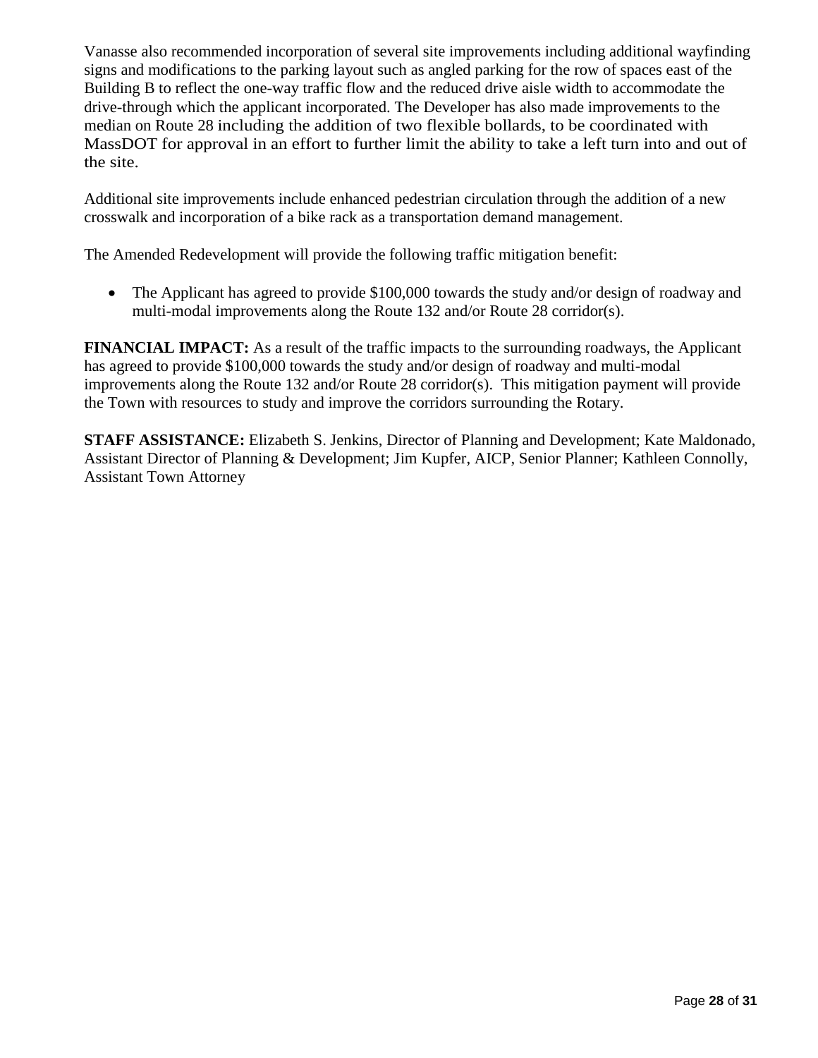Vanasse also recommended incorporation of several site improvements including additional wayfinding signs and modifications to the parking layout such as angled parking for the row of spaces east of the Building B to reflect the one-way traffic flow and the reduced drive aisle width to accommodate the drive-through which the applicant incorporated. The Developer has also made improvements to the median on Route 28 including the addition of two flexible bollards, to be coordinated with MassDOT for approval in an effort to further limit the ability to take a left turn into and out of the site.

Additional site improvements include enhanced pedestrian circulation through the addition of a new crosswalk and incorporation of a bike rack as a transportation demand management.

The Amended Redevelopment will provide the following traffic mitigation benefit:

 The Applicant has agreed to provide \$100,000 towards the study and/or design of roadway and multi-modal improvements along the Route 132 and/or Route 28 corridor(s).

**FINANCIAL IMPACT:** As a result of the traffic impacts to the surrounding roadways, the Applicant has agreed to provide \$100,000 towards the study and/or design of roadway and multi-modal improvements along the Route 132 and/or Route 28 corridor(s). This mitigation payment will provide the Town with resources to study and improve the corridors surrounding the Rotary.

**STAFF ASSISTANCE:** Elizabeth S. Jenkins, Director of Planning and Development; Kate Maldonado, Assistant Director of Planning & Development; Jim Kupfer, AICP, Senior Planner; Kathleen Connolly, Assistant Town Attorney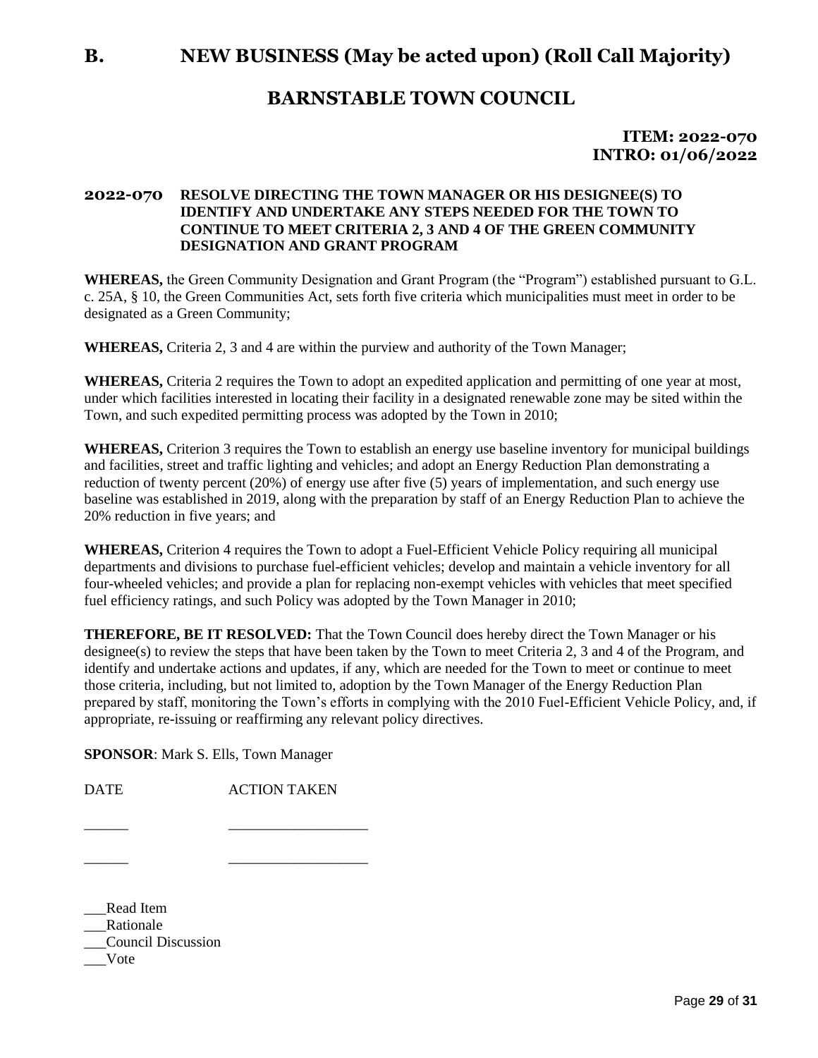### **ITEM: 2022-070 INTRO: 01/06/2022**

#### **2022-070 RESOLVE DIRECTING THE TOWN MANAGER OR HIS DESIGNEE(S) TO IDENTIFY AND UNDERTAKE ANY STEPS NEEDED FOR THE TOWN TO CONTINUE TO MEET CRITERIA 2, 3 AND 4 OF THE GREEN COMMUNITY DESIGNATION AND GRANT PROGRAM**

**WHEREAS,** the Green Community Designation and Grant Program (the "Program") established pursuant to G.L. c. 25A, § 10, the Green Communities Act, sets forth five criteria which municipalities must meet in order to be designated as a Green Community;

**WHEREAS,** Criteria 2, 3 and 4 are within the purview and authority of the Town Manager;

**WHEREAS,** Criteria 2 requires the Town to adopt an expedited application and permitting of one year at most, under which facilities interested in locating their facility in a designated renewable zone may be sited within the Town, and such expedited permitting process was adopted by the Town in 2010;

**WHEREAS,** Criterion 3 requires the Town to establish an energy use baseline inventory for municipal buildings and facilities, street and traffic lighting and vehicles; and adopt an Energy Reduction Plan demonstrating a reduction of twenty percent (20%) of energy use after five (5) years of implementation, and such energy use baseline was established in 2019, along with the preparation by staff of an Energy Reduction Plan to achieve the 20% reduction in five years; and

**WHEREAS,** Criterion 4 requires the Town to adopt a Fuel-Efficient Vehicle Policy requiring all municipal departments and divisions to purchase fuel-efficient vehicles; develop and maintain a vehicle inventory for all four-wheeled vehicles; and provide a plan for replacing non-exempt vehicles with vehicles that meet specified fuel efficiency ratings, and such Policy was adopted by the Town Manager in 2010;

**THEREFORE, BE IT RESOLVED:** That the Town Council does hereby direct the Town Manager or his designee(s) to review the steps that have been taken by the Town to meet Criteria 2, 3 and 4 of the Program, and identify and undertake actions and updates, if any, which are needed for the Town to meet or continue to meet those criteria, including, but not limited to, adoption by the Town Manager of the Energy Reduction Plan prepared by staff, monitoring the Town's efforts in complying with the 2010 Fuel-Efficient Vehicle Policy, and, if appropriate, re-issuing or reaffirming any relevant policy directives.

**SPONSOR**: Mark S. Ells, Town Manager

DATE ACTION TAKEN

\_\_\_\_\_\_ \_\_\_\_\_\_\_\_\_\_\_\_\_\_\_\_\_\_\_

\_\_\_\_\_\_ \_\_\_\_\_\_\_\_\_\_\_\_\_\_\_\_\_\_\_

\_\_\_Read Item \_\_\_Rationale \_\_\_Council Discussion \_\_\_Vote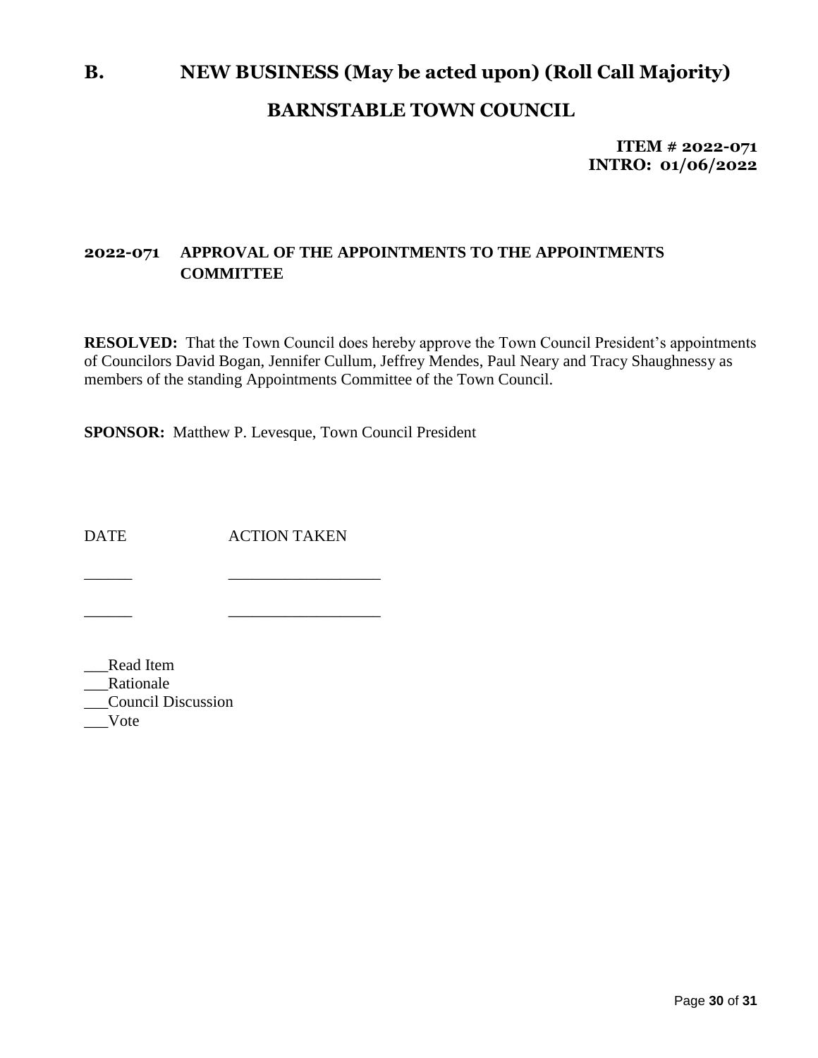# **B. NEW BUSINESS (May be acted upon) (Roll Call Majority) BARNSTABLE TOWN COUNCIL**

**ITEM # 2022-071 INTRO: 01/06/2022**

### **2022-071 APPROVAL OF THE APPOINTMENTS TO THE APPOINTMENTS COMMITTEE**

**RESOLVED:** That the Town Council does hereby approve the Town Council President's appointments of Councilors David Bogan, Jennifer Cullum, Jeffrey Mendes, Paul Neary and Tracy Shaughnessy as members of the standing Appointments Committee of the Town Council.

**SPONSOR:** Matthew P. Levesque, Town Council President

DATE ACTION TAKEN

\_\_\_\_\_\_ \_\_\_\_\_\_\_\_\_\_\_\_\_\_\_\_\_\_\_

\_\_\_\_\_\_ \_\_\_\_\_\_\_\_\_\_\_\_\_\_\_\_\_\_\_

\_\_\_Read Item \_\_\_Rationale \_\_\_Council Discussion \_\_\_Vote